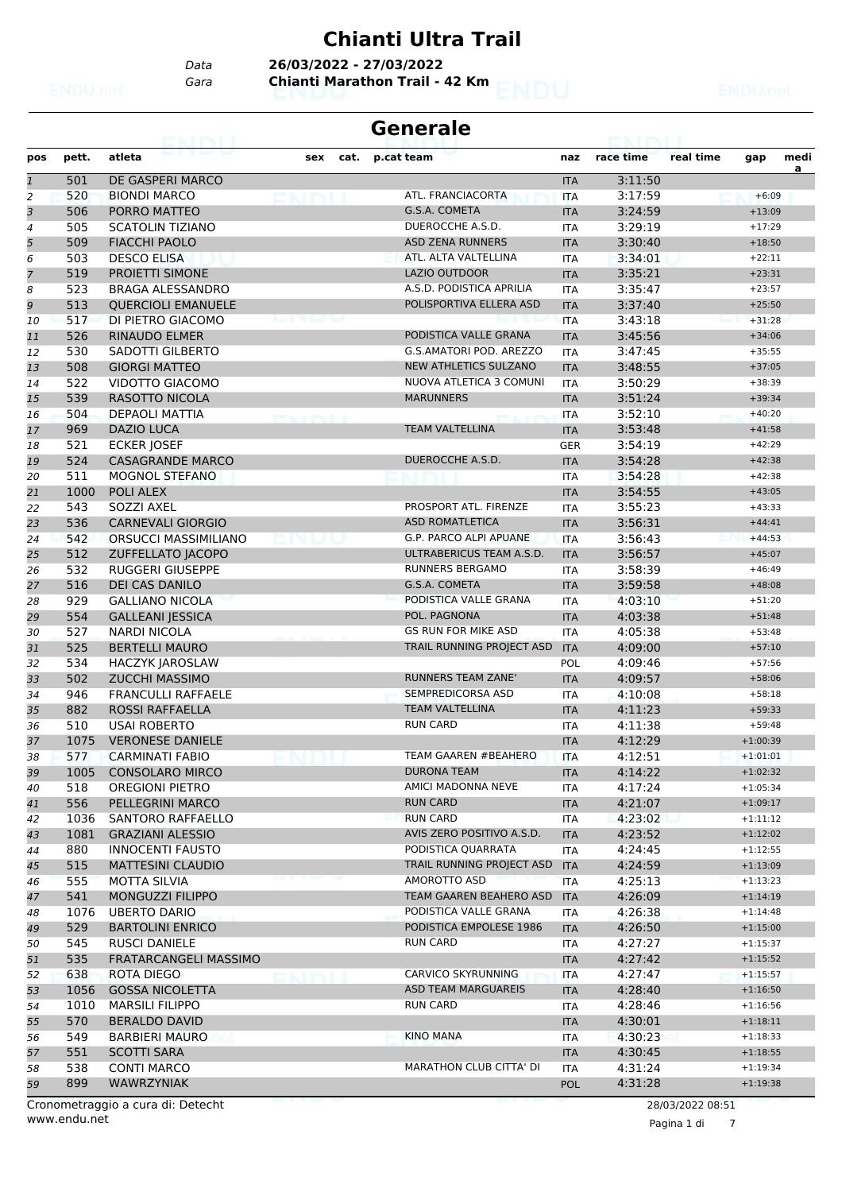#### **Chianti Ultra Trail**

*Data* **26/03/2022 - 27/03/2022**

*Gara* **Chianti Marathon Trail - 42 Km**

|                |            |                                                 |     |      | <b>Generale</b>                    |                          |                    |                  |                      |      |
|----------------|------------|-------------------------------------------------|-----|------|------------------------------------|--------------------------|--------------------|------------------|----------------------|------|
| pos            | pett.      | atleta                                          | sex | cat. | p.cat team                         | naz                      | race time          | real time        | gap                  | medi |
| $\mathbf{1}$   | 501        | DE GASPERI MARCO                                |     |      |                                    | <b>ITA</b>               | 3:11:50            |                  |                      | a    |
| $\overline{c}$ | 520        | <b>BIONDI MARCO</b>                             |     |      | ATL. FRANCIACORTA                  | <b>ITA</b>               | 3:17:59            |                  | $+6:09$              |      |
| 3              | 506        | PORRO MATTEO                                    |     |      | G.S.A. COMETA                      | <b>ITA</b>               | 3:24:59            |                  | $+13:09$             |      |
| $\overline{4}$ | 505        | <b>SCATOLIN TIZIANO</b>                         |     |      | DUEROCCHE A.S.D.                   | <b>ITA</b>               | 3:29:19            |                  | $+17:29$             |      |
| 5              | 509        | <b>FIACCHI PAOLO</b>                            |     |      | <b>ASD ZENA RUNNERS</b>            | <b>ITA</b>               | 3:30:40            |                  | $+18:50$             |      |
| 6              | 503        | <b>DESCO ELISA</b>                              |     |      | ATL. ALTA VALTELLINA               | <b>ITA</b>               | 3:34:01            |                  | $+22:11$             |      |
| $\overline{7}$ | 519        | PROIETTI SIMONE                                 |     |      | <b>LAZIO OUTDOOR</b>               | <b>ITA</b>               | 3:35:21            |                  | $+23:31$             |      |
| 8              | 523        | <b>BRAGA ALESSANDRO</b>                         |     |      | A.S.D. PODISTICA APRILIA           | <b>ITA</b>               | 3:35:47            |                  | $+23:57$             |      |
| 9              | 513        | <b>QUERCIOLI EMANUELE</b>                       |     |      | POLISPORTIVA ELLERA ASD            | <b>ITA</b>               | 3:37:40            |                  | $+25:50$             |      |
| 10             | 517        | DI PIETRO GIACOMO                               |     |      |                                    | <b>ITA</b>               | 3:43:18            |                  | $+31:28$             |      |
| 11             | 526        | <b>RINAUDO ELMER</b>                            |     |      | PODISTICA VALLE GRANA              | <b>ITA</b>               | 3:45:56            |                  | $+34:06$             |      |
| 12             | 530        | SADOTTI GILBERTO                                |     |      | G.S.AMATORI POD. AREZZO            | <b>ITA</b>               | 3:47:45            |                  | $+35:55$             |      |
| 13             | 508        | <b>GIORGI MATTEO</b>                            |     |      | <b>NEW ATHLETICS SULZANO</b>       | <b>ITA</b>               | 3:48:55            |                  | $+37:05$             |      |
| 14             | 522        | VIDOTTO GIACOMO                                 |     |      | NUOVA ATLETICA 3 COMUNI            | <b>ITA</b>               | 3:50:29            |                  | $+38:39$             |      |
| 15             | 539        | <b>RASOTTO NICOLA</b>                           |     |      | <b>MARUNNERS</b>                   | <b>ITA</b>               | 3:51:24            |                  | $+39:34$             |      |
| 16             | 504        | DEPAOLI MATTIA                                  |     |      |                                    | <b>ITA</b>               | 3:52:10            |                  | $+40:20$             |      |
| 17             | 969        | <b>DAZIO LUCA</b>                               |     |      | <b>TEAM VALTELLINA</b>             | <b>ITA</b>               | 3:53:48            |                  | $+41:58$             |      |
| 18             | 521        | <b>ECKER JOSEF</b>                              |     |      |                                    | <b>GER</b>               | 3:54:19            |                  | $+42:29$             |      |
| 19             | 524        | <b>CASAGRANDE MARCO</b>                         |     |      | DUEROCCHE A.S.D.                   | <b>ITA</b>               | 3:54:28            |                  | $+42:38$             |      |
| 20             | 511        | <b>MOGNOL STEFANO</b>                           |     |      |                                    | <b>ITA</b>               | 3:54:28            |                  | $+42:38$             |      |
| 21             | 1000       | POLI ALEX                                       |     |      |                                    | <b>ITA</b>               | 3:54:55            |                  | $+43:05$             |      |
| 22             | 543        | SOZZI AXEL                                      |     |      | PROSPORT ATL. FIRENZE              | <b>ITA</b>               | 3:55:23            |                  | $+43:33$             |      |
|                | 536        | <b>CARNEVALI GIORGIO</b>                        |     |      | <b>ASD ROMATLETICA</b>             | <b>ITA</b>               | 3:56:31            |                  | $+44:41$             |      |
| 23             | 542        | <b>ORSUCCI MASSIMILIANO</b>                     |     |      | G.P. PARCO ALPI APUANE             | <b>ITA</b>               | 3:56:43            |                  | $+44:53$             |      |
| 24             | 512        |                                                 |     |      | ULTRABERICUS TEAM A.S.D.           | <b>ITA</b>               | 3:56:57            |                  | $+45:07$             |      |
| 25             | 532        | ZUFFELLATO JACOPO<br>RUGGERI GIUSEPPE           |     |      | <b>RUNNERS BERGAMO</b>             |                          | 3:58:39            |                  | $+46:49$             |      |
| 26             |            |                                                 |     |      | G.S.A. COMETA                      | <b>ITA</b>               |                    |                  |                      |      |
| 27             | 516        | <b>DEI CAS DANILO</b><br><b>GALLIANO NICOLA</b> |     |      | PODISTICA VALLE GRANA              | <b>ITA</b>               | 3:59:58            |                  | $+48:08$             |      |
| 28             | 929<br>554 |                                                 |     |      | POL. PAGNONA                       | <b>ITA</b>               | 4:03:10            |                  | $+51:20$             |      |
| 29             | 527        | <b>GALLEANI JESSICA</b><br><b>NARDI NICOLA</b>  |     |      | <b>GS RUN FOR MIKE ASD</b>         | <b>ITA</b>               | 4:03:38            |                  | $+51:48$<br>$+53:48$ |      |
| 30             | 525        | <b>BERTELLI MAURO</b>                           |     |      | TRAIL RUNNING PROJECT ASD          | <b>ITA</b>               | 4:05:38<br>4:09:00 |                  |                      |      |
| 31<br>32       | 534        |                                                 |     |      |                                    | <b>ITA</b>               | 4:09:46            |                  | $+57:10$<br>$+57:56$ |      |
|                | 502        | <b>HACZYK JAROSLAW</b><br><b>ZUCCHI MASSIMO</b> |     |      | <b>RUNNERS TEAM ZANE'</b>          | <b>POL</b>               | 4:09:57            |                  |                      |      |
| 33             | 946        | <b>FRANCULLI RAFFAELE</b>                       |     |      | SEMPREDICORSA ASD                  | <b>ITA</b>               | 4:10:08            |                  | $+58:06$             |      |
| 34             | 882        | <b>ROSSI RAFFAELLA</b>                          |     |      | <b>TEAM VALTELLINA</b>             | <b>ITA</b><br><b>ITA</b> | 4:11:23            |                  | $+58:18$<br>$+59:33$ |      |
| 35             | 510        | <b>USAI ROBERTO</b>                             |     |      | <b>RUN CARD</b>                    |                          | 4:11:38            |                  | $+59:48$             |      |
| 36             | 1075       | <b>VERONESE DANIELE</b>                         |     |      |                                    | <b>ITA</b><br><b>ITA</b> | 4:12:29            |                  | $+1:00:39$           |      |
| 37             |            |                                                 |     |      | TEAM GAAREN #BEAHERO               |                          |                    |                  | $+1:01:01$           |      |
| 38             | 577        | <b>CARMINATI FABIO</b>                          |     |      | <b>DURONA TEAM</b>                 | <b>ITA</b>               | 4:12:51            |                  |                      |      |
| 39             | 1005       | <b>CONSOLARO MIRCO</b>                          |     |      |                                    | <b>ITA</b>               | 4:14:22            |                  | $+1:02:32$           |      |
| 40             | 518        | OREGIONI PIETRO                                 |     |      | AMICI MADONNA NEVE                 | ITA                      | 4:17:24            |                  | $+1:05:34$           |      |
| 41             | 556        | PELLEGRINI MARCO                                |     |      | <b>RUN CARD</b><br><b>RUN CARD</b> | <b>ITA</b>               | 4:21:07            |                  | $+1:09:17$           |      |
| 42             | 1036       | <b>SANTORO RAFFAELLO</b>                        |     |      | AVIS ZERO POSITIVO A.S.D.          | ITA                      | 4:23:02            |                  | $+1:11:12$           |      |
| 43             | 1081       | <b>GRAZIANI ALESSIO</b>                         |     |      |                                    | <b>ITA</b>               | 4:23:52            |                  | $+1:12:02$           |      |
| 44             | 880        | <b>INNOCENTI FAUSTO</b>                         |     |      | PODISTICA QUARRATA                 | ITA                      | 4:24:45            |                  | $+1:12:55$           |      |
| 45             | 515        | <b>MATTESINI CLAUDIO</b>                        |     |      | TRAIL RUNNING PROJECT ASD          | <b>ITA</b>               | 4:24:59            |                  | $+1:13:09$           |      |
| 46             | 555        | <b>MOTTA SILVIA</b>                             |     |      | AMOROTTO ASD                       | <b>ITA</b>               | 4:25:13            |                  | $+1:13:23$           |      |
| 47             | 541        | <b>MONGUZZI FILIPPO</b>                         |     |      | TEAM GAAREN BEAHERO ASD            | <b>ITA</b>               | 4:26:09            |                  | $+1:14:19$           |      |
| 48             | 1076       | <b>UBERTO DARIO</b>                             |     |      | PODISTICA VALLE GRANA              | ITA                      | 4:26:38            |                  | $+1:14:48$           |      |
| 49             | 529        | <b>BARTOLINI ENRICO</b>                         |     |      | PODISTICA EMPOLESE 1986            | <b>ITA</b>               | 4:26:50            |                  | $+1:15:00$           |      |
| 50             | 545        | <b>RUSCI DANIELE</b>                            |     |      | <b>RUN CARD</b>                    | ITA                      | 4:27:27            |                  | $+1:15:37$           |      |
| 51             | 535        | FRATARCANGELI MASSIMO                           |     |      |                                    | <b>ITA</b>               | 4:27:42            |                  | $+1:15:52$           |      |
| 52             | 638        | ROTA DIEGO                                      |     |      | CARVICO SKYRUNNING                 | <b>ITA</b>               | 4:27:47            |                  | $+1:15:57$           |      |
| 53             | 1056       | <b>GOSSA NICOLETTA</b>                          |     |      | ASD TEAM MARGUAREIS                | <b>ITA</b>               | 4:28:40            |                  | $+1:16:50$           |      |
| 54             | 1010       | <b>MARSILI FILIPPO</b>                          |     |      | <b>RUN CARD</b>                    | ITA                      | 4:28:46            |                  | $+1:16:56$           |      |
| 55             | 570        | <b>BERALDO DAVID</b>                            |     |      |                                    | <b>ITA</b>               | 4:30:01            |                  | $+1:18:11$           |      |
| 56             | 549        | <b>BARBIERI MAURO</b>                           |     |      | <b>KINO MANA</b>                   | ITA                      | 4:30:23            |                  | $+1:18:33$           |      |
| 57             | 551        | <b>SCOTTI SARA</b>                              |     |      |                                    | <b>ITA</b>               | 4:30:45            |                  | $+1:18:55$           |      |
| 58             | 538        | <b>CONTI MARCO</b>                              |     |      | <b>MARATHON CLUB CITTA' DI</b>     | <b>ITA</b>               | 4:31:24            |                  | $+1:19:34$           |      |
| 59             | 899        | <b>WAWRZYNIAK</b>                               |     |      |                                    | POL                      | 4:31:28            |                  | $+1:19:38$           |      |
|                |            | Cronometraggio a cura di: Detecht               |     |      |                                    |                          |                    | 28/03/2022 08:51 |                      |      |

www.endu.net

Pagina 1 di 7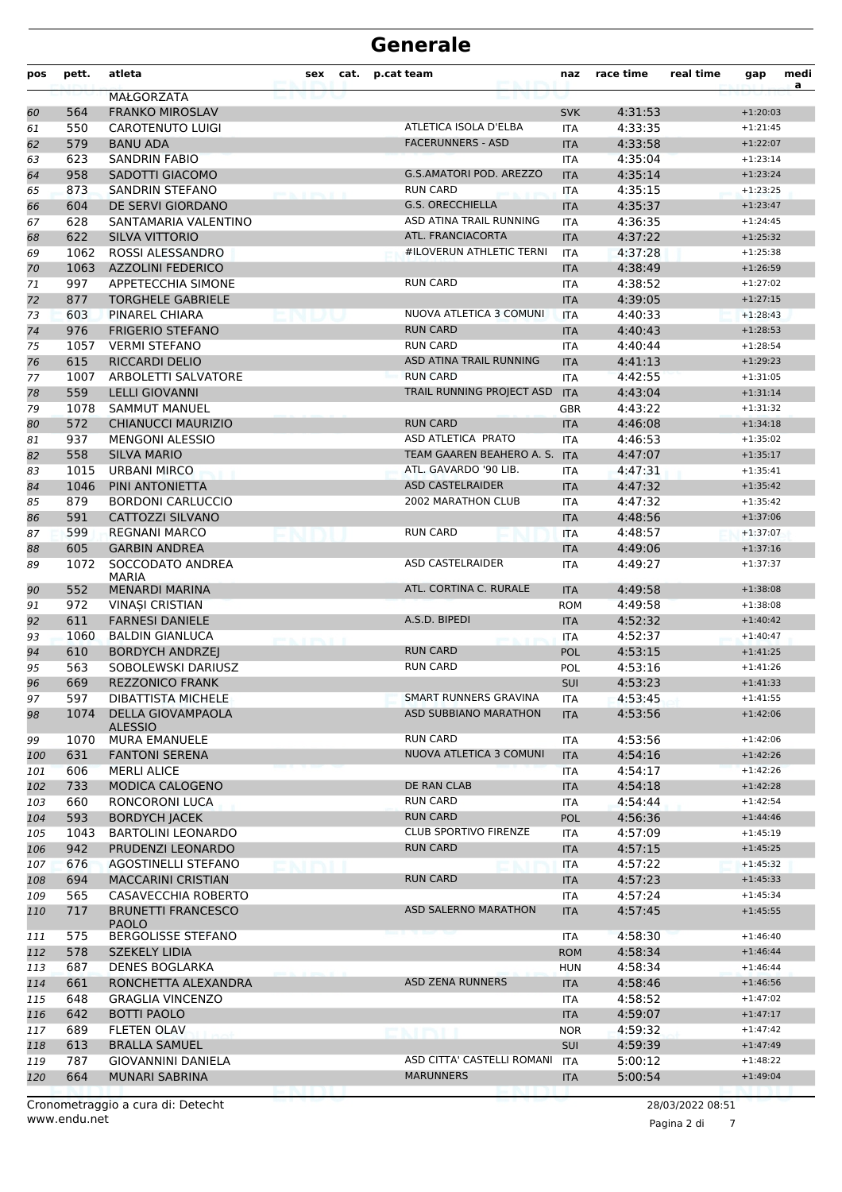| MAŁGORZATA<br><b>FRANKO MIROSLAV</b><br>4:31:53<br>564<br>60<br><b>SVK</b><br>$+1:20:03$<br>550<br><b>CAROTENUTO LUIGI</b><br>ATLETICA ISOLA D'ELBA<br>4:33:35<br><b>ITA</b><br>$+1:21:45$<br>61<br><b>FACERUNNERS - ASD</b><br>579<br><b>BANU ADA</b><br>4:33:58<br>$+1:22:07$<br><b>ITA</b><br>62<br><b>SANDRIN FABIO</b><br>4:35:04<br>63<br>623<br>$+1:23:14$<br><b>ITA</b><br>958<br>SADOTTI GIACOMO<br><b>G.S.AMATORI POD. AREZZO</b><br>4:35:14<br>64<br><b>ITA</b><br>$+1:23:24$<br><b>RUN CARD</b><br>873<br>SANDRIN STEFANO<br>4:35:15<br>$+1:23:25$<br><b>ITA</b><br>65<br><b>G.S. ORECCHIELLA</b><br>DE SERVI GIORDANO<br>4:35:37<br>604<br><b>ITA</b><br>66<br>$+1:23:47$<br>ASD ATINA TRAIL RUNNING<br>4:36:35<br>628<br>SANTAMARIA VALENTINO<br>$+1:24:45$<br>67<br><b>ITA</b><br>622<br>ATL. FRANCIACORTA<br>SILVA VITTORIO<br>4:37:22<br><b>ITA</b><br>$+1:25:32$<br>68<br>#ILOVERUN ATHLETIC TERNI<br>1062<br>ROSSI ALESSANDRO<br>4:37:28<br>69<br><b>ITA</b><br>$+1:25:38$<br><b>AZZOLINI FEDERICO</b><br>4:38:49<br>70<br>1063<br><b>ITA</b><br>$+1:26:59$<br><b>RUN CARD</b><br>997<br>APPETECCHIA SIMONE<br>4:38:52<br>$+1:27:02$<br>71<br><b>ITA</b><br>72<br>877<br><b>TORGHELE GABRIELE</b><br>4:39:05<br><b>ITA</b><br>$+1:27:15$<br>NUOVA ATLETICA 3 COMUNI<br>4:40:33<br>603<br>PINAREL CHIARA<br>$+1:28:43$<br>73<br><b>ITA</b><br><b>RUN CARD</b><br>976<br><b>FRIGERIO STEFANO</b><br>4:40:43<br>$+1:28:53$<br>74<br><b>ITA</b><br>75<br><b>RUN CARD</b><br>4:40:44<br>1057<br><b>VERMI STEFANO</b><br>$+1:28:54$<br><b>ITA</b><br>615<br><b>RICCARDI DELIO</b><br>ASD ATINA TRAIL RUNNING<br>4:41:13<br>76<br><b>ITA</b><br>$+1:29:23$<br><b>RUN CARD</b><br>1007<br>ARBOLETTI SALVATORE<br>4:42:55<br>$+1:31:05$<br>77<br><b>ITA</b><br>559<br><b>LELLI GIOVANNI</b><br>TRAIL RUNNING PROJECT ASD<br><b>ITA</b><br>4:43:04<br>78<br>$+1:31:14$<br>1078<br><b>SAMMUT MANUEL</b><br>4:43:22<br>79<br>GBR<br>$+1:31:32$<br><b>RUN CARD</b><br>572<br><b>CHIANUCCI MAURIZIO</b><br>4:46:08<br><b>ITA</b><br>$+1:34:18$<br>80<br>ASD ATLETICA PRATO<br>937<br>81<br><b>MENGONI ALESSIO</b><br><b>ITA</b><br>4:46:53<br>$+1:35:02$<br>TEAM GAAREN BEAHERO A. S.<br>558<br><b>SILVA MARIO</b><br>4:47:07<br><b>ITA</b><br>$+1:35:17$<br>82<br>ATL. GAVARDO '90 LIB.<br><b>URBANI MIRCO</b><br>4:47:31<br>$+1:35:41$<br>83<br>1015<br><b>ITA</b><br>1046<br>PINI ANTONIETTA<br><b>ASD CASTELRAIDER</b><br>4:47:32<br><b>ITA</b><br>84<br>$+1:35:42$<br>879<br><b>BORDONI CARLUCCIO</b><br>2002 MARATHON CLUB<br>4:47:32<br>$+1:35:42$<br>85<br><b>ITA</b><br>591<br><b>CATTOZZI SILVANO</b><br>4:48:56<br><b>ITA</b><br>$+1:37:06$<br>86<br>599<br><b>RUN CARD</b><br>87<br><b>REGNANI MARCO</b><br>4:48:57<br>$+1:37:07$<br><b>ITA</b><br>605<br><b>GARBIN ANDREA</b><br>4:49:06<br>$+1:37:16$<br>88<br><b>ITA</b><br><b>ASD CASTELRAIDER</b><br>1072<br>SOCCODATO ANDREA<br>4:49:27<br>89<br><b>ITA</b><br>$+1:37:37$<br><b>MARIA</b><br>ATL. CORTINA C. RURALE<br>552<br><b>MENARDI MARINA</b><br><b>ITA</b><br>4:49:58<br>90<br>$+1:38:08$<br>91<br>972<br><b>VINASI CRISTIAN</b><br><b>ROM</b><br>4:49:58<br>$+1:38:08$<br>611<br>A.S.D. BIPEDI<br>4:52:32<br><b>FARNESI DANIELE</b><br>92<br><b>ITA</b><br>$+1:40:42$<br><b>BALDIN GIANLUCA</b><br>4:52:37<br>93<br>1060<br>$+1:40:47$<br>ITA<br><b>BORDYCH ANDRZEJ</b><br><b>RUN CARD</b><br>4:53:15<br>94<br>610<br><b>POL</b><br>$+1:41:25$<br><b>RUN CARD</b><br>563<br>SOBOLEWSKI DARIUSZ<br>4:53:16<br>95<br><b>POL</b><br>$+1:41:26$<br>669<br><b>REZZONICO FRANK</b><br>SUI<br>4:53:23<br>96<br>$+1:41:33$<br>97<br>597<br>DIBATTISTA MICHELE<br>SMART RUNNERS GRAVINA<br>ITA<br>4:53:45<br>$+1:41:55$<br><b>DELLA GIOVAMPAOLA</b><br>ASD SUBBIANO MARATHON<br>$+1:42:06$<br>1074<br>4:53:56<br>98<br><b>ITA</b><br><b>ALESSIO</b><br><b>RUN CARD</b><br>$+1:42:06$<br>1070<br><b>MURA EMANUELE</b><br>4:53:56<br>99<br>ITA<br>NUOVA ATLETICA 3 COMUNI<br>631<br>4:54:16<br><b>FANTONI SERENA</b><br><b>ITA</b><br>$+1:42:26$<br>100<br>606<br><b>MERLI ALICE</b><br>4:54:17<br>$+1:42:26$<br>101<br><b>ITA</b><br>DE RAN CLAB<br>MODICA CALOGENO<br>4:54:18<br>$+1:42:28$<br>102<br>733<br><b>ITA</b><br><b>RUN CARD</b><br>RONCORONI LUCA<br>660<br>4:54:44<br>$+1:42:54$<br>103<br>ITA<br>593<br><b>RUN CARD</b><br><b>BORDYCH JACEK</b><br><b>POL</b><br>4:56:36<br>$+1:44:46$<br>104<br><b>CLUB SPORTIVO FIRENZE</b><br>1043<br>$+1:45:19$<br><b>BARTOLINI LEONARDO</b><br>4:57:09<br>105<br>ITA<br><b>RUN CARD</b><br>942<br>PRUDENZI LEONARDO<br><b>ITA</b><br>4:57:15<br>106<br>$+1:45:25$<br>676<br>AGOSTINELLI STEFANO<br>4:57:22<br>107<br>ITA<br>$+1:45:32$<br><b>RUN CARD</b><br><b>MACCARINI CRISTIAN</b><br>4:57:23<br>$+1:45:33$<br>108<br>694<br><b>ITA</b><br>CASAVECCHIA ROBERTO<br>565<br>4:57:24<br>$+1:45:34$<br>109<br>ITA<br>717<br><b>ASD SALERNO MARATHON</b><br><b>BRUNETTI FRANCESCO</b><br>4:57:45<br><b>ITA</b><br>$+1:45:55$<br>110<br><b>PAOLO</b><br>575<br><b>BERGOLISSE STEFANO</b><br>4:58:30<br>$+1:46:40$<br>ITA<br>111<br>578<br>$+1:46:44$<br><b>SZEKELY LIDIA</b><br><b>ROM</b><br>4:58:34<br>112<br>687<br><b>DENES BOGLARKA</b><br>4:58:34<br>$+1:46:44$<br>113<br><b>HUN</b><br><b>ASD ZENA RUNNERS</b><br>661<br>RONCHETTA ALEXANDRA<br>4:58:46<br>$+1:46:56$<br>114<br><b>ITA</b><br>648<br>$+1:47:02$<br><b>GRAGLIA VINCENZO</b><br>4:58:52<br>115<br>ITA<br>642<br><b>BOTTI PAOLO</b><br><b>ITA</b><br>4:59:07<br>$+1:47:17$<br>116<br>689<br><b>FLETEN OLAV</b><br>4:59:32<br><b>NOR</b><br>$+1:47:42$<br>117<br>ENIMII<br>613<br><b>BRALLA SAMUEL</b><br><b>SUI</b><br>4:59:39<br>$+1:47:49$<br>118<br>787<br>ASD CITTA' CASTELLI ROMANI<br>GIOVANNINI DANIELA<br><b>ITA</b><br>5:00:12<br>$+1:48:22$<br>119<br><b>MARUNNERS</b><br>664<br>MUNARI SABRINA<br>5:00:54<br>$+1:49:04$<br>120<br><b>ITA</b> | pos | pett. | atleta | sex<br>cat. | p.cat team | naz | race time | real time | gap | medi<br>a |
|--------------------------------------------------------------------------------------------------------------------------------------------------------------------------------------------------------------------------------------------------------------------------------------------------------------------------------------------------------------------------------------------------------------------------------------------------------------------------------------------------------------------------------------------------------------------------------------------------------------------------------------------------------------------------------------------------------------------------------------------------------------------------------------------------------------------------------------------------------------------------------------------------------------------------------------------------------------------------------------------------------------------------------------------------------------------------------------------------------------------------------------------------------------------------------------------------------------------------------------------------------------------------------------------------------------------------------------------------------------------------------------------------------------------------------------------------------------------------------------------------------------------------------------------------------------------------------------------------------------------------------------------------------------------------------------------------------------------------------------------------------------------------------------------------------------------------------------------------------------------------------------------------------------------------------------------------------------------------------------------------------------------------------------------------------------------------------------------------------------------------------------------------------------------------------------------------------------------------------------------------------------------------------------------------------------------------------------------------------------------------------------------------------------------------------------------------------------------------------------------------------------------------------------------------------------------------------------------------------------------------------------------------------------------------------------------------------------------------------------------------------------------------------------------------------------------------------------------------------------------------------------------------------------------------------------------------------------------------------------------------------------------------------------------------------------------------------------------------------------------------------------------------------------------------------------------------------------------------------------------------------------------------------------------------------------------------------------------------------------------------------------------------------------------------------------------------------------------------------------------------------------------------------------------------------------------------------------------------------------------------------------------------------------------------------------------------------------------------------------------------------------------------------------------------------------------------------------------------------------------------------------------------------------------------------------------------------------------------------------------------------------------------------------------------------------------------------------------------------------------------------------------------------------------------------------------------------------------------------------------------------------------------------------------------------------------------------------------------------------------------------------------------------------------------------------------------------------------------------------------------------------------------------------------------------------------------------------------------------------------------------------------------------------------------------------------------------------------------------------------------------------------------------------------------------------------------------------------------------------------------------------------------------------------------------------------------------------------------------------------------------------------------------------------------------------------------------------------------------------------------------------------------------------------------------------------------------------------------------------------------------------------------------------------------------------------------------------------------------------------------------------------------------------------------------------------------------------------------------------------------------------------------------------------------------------------------------------------------------------------------------------------------------------------------------------------------------------------------------------------------------------------------------------------------------------------------------------------------|-----|-------|--------|-------------|------------|-----|-----------|-----------|-----|-----------|
|                                                                                                                                                                                                                                                                                                                                                                                                                                                                                                                                                                                                                                                                                                                                                                                                                                                                                                                                                                                                                                                                                                                                                                                                                                                                                                                                                                                                                                                                                                                                                                                                                                                                                                                                                                                                                                                                                                                                                                                                                                                                                                                                                                                                                                                                                                                                                                                                                                                                                                                                                                                                                                                                                                                                                                                                                                                                                                                                                                                                                                                                                                                                                                                                                                                                                                                                                                                                                                                                                                                                                                                                                                                                                                                                                                                                                                                                                                                                                                                                                                                                                                                                                                                                                                                                                                                                                                                                                                                                                                                                                                                                                                                                                                                                                                                                                                                                                                                                                                                                                                                                                                                                                                                                                                                                                                                                                                                                                                                                                                                                                                                                                                                                                                                                                                                                                                                  |     |       |        |             |            |     |           |           |     |           |
|                                                                                                                                                                                                                                                                                                                                                                                                                                                                                                                                                                                                                                                                                                                                                                                                                                                                                                                                                                                                                                                                                                                                                                                                                                                                                                                                                                                                                                                                                                                                                                                                                                                                                                                                                                                                                                                                                                                                                                                                                                                                                                                                                                                                                                                                                                                                                                                                                                                                                                                                                                                                                                                                                                                                                                                                                                                                                                                                                                                                                                                                                                                                                                                                                                                                                                                                                                                                                                                                                                                                                                                                                                                                                                                                                                                                                                                                                                                                                                                                                                                                                                                                                                                                                                                                                                                                                                                                                                                                                                                                                                                                                                                                                                                                                                                                                                                                                                                                                                                                                                                                                                                                                                                                                                                                                                                                                                                                                                                                                                                                                                                                                                                                                                                                                                                                                                                  |     |       |        |             |            |     |           |           |     |           |
|                                                                                                                                                                                                                                                                                                                                                                                                                                                                                                                                                                                                                                                                                                                                                                                                                                                                                                                                                                                                                                                                                                                                                                                                                                                                                                                                                                                                                                                                                                                                                                                                                                                                                                                                                                                                                                                                                                                                                                                                                                                                                                                                                                                                                                                                                                                                                                                                                                                                                                                                                                                                                                                                                                                                                                                                                                                                                                                                                                                                                                                                                                                                                                                                                                                                                                                                                                                                                                                                                                                                                                                                                                                                                                                                                                                                                                                                                                                                                                                                                                                                                                                                                                                                                                                                                                                                                                                                                                                                                                                                                                                                                                                                                                                                                                                                                                                                                                                                                                                                                                                                                                                                                                                                                                                                                                                                                                                                                                                                                                                                                                                                                                                                                                                                                                                                                                                  |     |       |        |             |            |     |           |           |     |           |
|                                                                                                                                                                                                                                                                                                                                                                                                                                                                                                                                                                                                                                                                                                                                                                                                                                                                                                                                                                                                                                                                                                                                                                                                                                                                                                                                                                                                                                                                                                                                                                                                                                                                                                                                                                                                                                                                                                                                                                                                                                                                                                                                                                                                                                                                                                                                                                                                                                                                                                                                                                                                                                                                                                                                                                                                                                                                                                                                                                                                                                                                                                                                                                                                                                                                                                                                                                                                                                                                                                                                                                                                                                                                                                                                                                                                                                                                                                                                                                                                                                                                                                                                                                                                                                                                                                                                                                                                                                                                                                                                                                                                                                                                                                                                                                                                                                                                                                                                                                                                                                                                                                                                                                                                                                                                                                                                                                                                                                                                                                                                                                                                                                                                                                                                                                                                                                                  |     |       |        |             |            |     |           |           |     |           |
|                                                                                                                                                                                                                                                                                                                                                                                                                                                                                                                                                                                                                                                                                                                                                                                                                                                                                                                                                                                                                                                                                                                                                                                                                                                                                                                                                                                                                                                                                                                                                                                                                                                                                                                                                                                                                                                                                                                                                                                                                                                                                                                                                                                                                                                                                                                                                                                                                                                                                                                                                                                                                                                                                                                                                                                                                                                                                                                                                                                                                                                                                                                                                                                                                                                                                                                                                                                                                                                                                                                                                                                                                                                                                                                                                                                                                                                                                                                                                                                                                                                                                                                                                                                                                                                                                                                                                                                                                                                                                                                                                                                                                                                                                                                                                                                                                                                                                                                                                                                                                                                                                                                                                                                                                                                                                                                                                                                                                                                                                                                                                                                                                                                                                                                                                                                                                                                  |     |       |        |             |            |     |           |           |     |           |
|                                                                                                                                                                                                                                                                                                                                                                                                                                                                                                                                                                                                                                                                                                                                                                                                                                                                                                                                                                                                                                                                                                                                                                                                                                                                                                                                                                                                                                                                                                                                                                                                                                                                                                                                                                                                                                                                                                                                                                                                                                                                                                                                                                                                                                                                                                                                                                                                                                                                                                                                                                                                                                                                                                                                                                                                                                                                                                                                                                                                                                                                                                                                                                                                                                                                                                                                                                                                                                                                                                                                                                                                                                                                                                                                                                                                                                                                                                                                                                                                                                                                                                                                                                                                                                                                                                                                                                                                                                                                                                                                                                                                                                                                                                                                                                                                                                                                                                                                                                                                                                                                                                                                                                                                                                                                                                                                                                                                                                                                                                                                                                                                                                                                                                                                                                                                                                                  |     |       |        |             |            |     |           |           |     |           |
|                                                                                                                                                                                                                                                                                                                                                                                                                                                                                                                                                                                                                                                                                                                                                                                                                                                                                                                                                                                                                                                                                                                                                                                                                                                                                                                                                                                                                                                                                                                                                                                                                                                                                                                                                                                                                                                                                                                                                                                                                                                                                                                                                                                                                                                                                                                                                                                                                                                                                                                                                                                                                                                                                                                                                                                                                                                                                                                                                                                                                                                                                                                                                                                                                                                                                                                                                                                                                                                                                                                                                                                                                                                                                                                                                                                                                                                                                                                                                                                                                                                                                                                                                                                                                                                                                                                                                                                                                                                                                                                                                                                                                                                                                                                                                                                                                                                                                                                                                                                                                                                                                                                                                                                                                                                                                                                                                                                                                                                                                                                                                                                                                                                                                                                                                                                                                                                  |     |       |        |             |            |     |           |           |     |           |
|                                                                                                                                                                                                                                                                                                                                                                                                                                                                                                                                                                                                                                                                                                                                                                                                                                                                                                                                                                                                                                                                                                                                                                                                                                                                                                                                                                                                                                                                                                                                                                                                                                                                                                                                                                                                                                                                                                                                                                                                                                                                                                                                                                                                                                                                                                                                                                                                                                                                                                                                                                                                                                                                                                                                                                                                                                                                                                                                                                                                                                                                                                                                                                                                                                                                                                                                                                                                                                                                                                                                                                                                                                                                                                                                                                                                                                                                                                                                                                                                                                                                                                                                                                                                                                                                                                                                                                                                                                                                                                                                                                                                                                                                                                                                                                                                                                                                                                                                                                                                                                                                                                                                                                                                                                                                                                                                                                                                                                                                                                                                                                                                                                                                                                                                                                                                                                                  |     |       |        |             |            |     |           |           |     |           |
|                                                                                                                                                                                                                                                                                                                                                                                                                                                                                                                                                                                                                                                                                                                                                                                                                                                                                                                                                                                                                                                                                                                                                                                                                                                                                                                                                                                                                                                                                                                                                                                                                                                                                                                                                                                                                                                                                                                                                                                                                                                                                                                                                                                                                                                                                                                                                                                                                                                                                                                                                                                                                                                                                                                                                                                                                                                                                                                                                                                                                                                                                                                                                                                                                                                                                                                                                                                                                                                                                                                                                                                                                                                                                                                                                                                                                                                                                                                                                                                                                                                                                                                                                                                                                                                                                                                                                                                                                                                                                                                                                                                                                                                                                                                                                                                                                                                                                                                                                                                                                                                                                                                                                                                                                                                                                                                                                                                                                                                                                                                                                                                                                                                                                                                                                                                                                                                  |     |       |        |             |            |     |           |           |     |           |
|                                                                                                                                                                                                                                                                                                                                                                                                                                                                                                                                                                                                                                                                                                                                                                                                                                                                                                                                                                                                                                                                                                                                                                                                                                                                                                                                                                                                                                                                                                                                                                                                                                                                                                                                                                                                                                                                                                                                                                                                                                                                                                                                                                                                                                                                                                                                                                                                                                                                                                                                                                                                                                                                                                                                                                                                                                                                                                                                                                                                                                                                                                                                                                                                                                                                                                                                                                                                                                                                                                                                                                                                                                                                                                                                                                                                                                                                                                                                                                                                                                                                                                                                                                                                                                                                                                                                                                                                                                                                                                                                                                                                                                                                                                                                                                                                                                                                                                                                                                                                                                                                                                                                                                                                                                                                                                                                                                                                                                                                                                                                                                                                                                                                                                                                                                                                                                                  |     |       |        |             |            |     |           |           |     |           |
|                                                                                                                                                                                                                                                                                                                                                                                                                                                                                                                                                                                                                                                                                                                                                                                                                                                                                                                                                                                                                                                                                                                                                                                                                                                                                                                                                                                                                                                                                                                                                                                                                                                                                                                                                                                                                                                                                                                                                                                                                                                                                                                                                                                                                                                                                                                                                                                                                                                                                                                                                                                                                                                                                                                                                                                                                                                                                                                                                                                                                                                                                                                                                                                                                                                                                                                                                                                                                                                                                                                                                                                                                                                                                                                                                                                                                                                                                                                                                                                                                                                                                                                                                                                                                                                                                                                                                                                                                                                                                                                                                                                                                                                                                                                                                                                                                                                                                                                                                                                                                                                                                                                                                                                                                                                                                                                                                                                                                                                                                                                                                                                                                                                                                                                                                                                                                                                  |     |       |        |             |            |     |           |           |     |           |
|                                                                                                                                                                                                                                                                                                                                                                                                                                                                                                                                                                                                                                                                                                                                                                                                                                                                                                                                                                                                                                                                                                                                                                                                                                                                                                                                                                                                                                                                                                                                                                                                                                                                                                                                                                                                                                                                                                                                                                                                                                                                                                                                                                                                                                                                                                                                                                                                                                                                                                                                                                                                                                                                                                                                                                                                                                                                                                                                                                                                                                                                                                                                                                                                                                                                                                                                                                                                                                                                                                                                                                                                                                                                                                                                                                                                                                                                                                                                                                                                                                                                                                                                                                                                                                                                                                                                                                                                                                                                                                                                                                                                                                                                                                                                                                                                                                                                                                                                                                                                                                                                                                                                                                                                                                                                                                                                                                                                                                                                                                                                                                                                                                                                                                                                                                                                                                                  |     |       |        |             |            |     |           |           |     |           |
|                                                                                                                                                                                                                                                                                                                                                                                                                                                                                                                                                                                                                                                                                                                                                                                                                                                                                                                                                                                                                                                                                                                                                                                                                                                                                                                                                                                                                                                                                                                                                                                                                                                                                                                                                                                                                                                                                                                                                                                                                                                                                                                                                                                                                                                                                                                                                                                                                                                                                                                                                                                                                                                                                                                                                                                                                                                                                                                                                                                                                                                                                                                                                                                                                                                                                                                                                                                                                                                                                                                                                                                                                                                                                                                                                                                                                                                                                                                                                                                                                                                                                                                                                                                                                                                                                                                                                                                                                                                                                                                                                                                                                                                                                                                                                                                                                                                                                                                                                                                                                                                                                                                                                                                                                                                                                                                                                                                                                                                                                                                                                                                                                                                                                                                                                                                                                                                  |     |       |        |             |            |     |           |           |     |           |
|                                                                                                                                                                                                                                                                                                                                                                                                                                                                                                                                                                                                                                                                                                                                                                                                                                                                                                                                                                                                                                                                                                                                                                                                                                                                                                                                                                                                                                                                                                                                                                                                                                                                                                                                                                                                                                                                                                                                                                                                                                                                                                                                                                                                                                                                                                                                                                                                                                                                                                                                                                                                                                                                                                                                                                                                                                                                                                                                                                                                                                                                                                                                                                                                                                                                                                                                                                                                                                                                                                                                                                                                                                                                                                                                                                                                                                                                                                                                                                                                                                                                                                                                                                                                                                                                                                                                                                                                                                                                                                                                                                                                                                                                                                                                                                                                                                                                                                                                                                                                                                                                                                                                                                                                                                                                                                                                                                                                                                                                                                                                                                                                                                                                                                                                                                                                                                                  |     |       |        |             |            |     |           |           |     |           |
|                                                                                                                                                                                                                                                                                                                                                                                                                                                                                                                                                                                                                                                                                                                                                                                                                                                                                                                                                                                                                                                                                                                                                                                                                                                                                                                                                                                                                                                                                                                                                                                                                                                                                                                                                                                                                                                                                                                                                                                                                                                                                                                                                                                                                                                                                                                                                                                                                                                                                                                                                                                                                                                                                                                                                                                                                                                                                                                                                                                                                                                                                                                                                                                                                                                                                                                                                                                                                                                                                                                                                                                                                                                                                                                                                                                                                                                                                                                                                                                                                                                                                                                                                                                                                                                                                                                                                                                                                                                                                                                                                                                                                                                                                                                                                                                                                                                                                                                                                                                                                                                                                                                                                                                                                                                                                                                                                                                                                                                                                                                                                                                                                                                                                                                                                                                                                                                  |     |       |        |             |            |     |           |           |     |           |
|                                                                                                                                                                                                                                                                                                                                                                                                                                                                                                                                                                                                                                                                                                                                                                                                                                                                                                                                                                                                                                                                                                                                                                                                                                                                                                                                                                                                                                                                                                                                                                                                                                                                                                                                                                                                                                                                                                                                                                                                                                                                                                                                                                                                                                                                                                                                                                                                                                                                                                                                                                                                                                                                                                                                                                                                                                                                                                                                                                                                                                                                                                                                                                                                                                                                                                                                                                                                                                                                                                                                                                                                                                                                                                                                                                                                                                                                                                                                                                                                                                                                                                                                                                                                                                                                                                                                                                                                                                                                                                                                                                                                                                                                                                                                                                                                                                                                                                                                                                                                                                                                                                                                                                                                                                                                                                                                                                                                                                                                                                                                                                                                                                                                                                                                                                                                                                                  |     |       |        |             |            |     |           |           |     |           |
|                                                                                                                                                                                                                                                                                                                                                                                                                                                                                                                                                                                                                                                                                                                                                                                                                                                                                                                                                                                                                                                                                                                                                                                                                                                                                                                                                                                                                                                                                                                                                                                                                                                                                                                                                                                                                                                                                                                                                                                                                                                                                                                                                                                                                                                                                                                                                                                                                                                                                                                                                                                                                                                                                                                                                                                                                                                                                                                                                                                                                                                                                                                                                                                                                                                                                                                                                                                                                                                                                                                                                                                                                                                                                                                                                                                                                                                                                                                                                                                                                                                                                                                                                                                                                                                                                                                                                                                                                                                                                                                                                                                                                                                                                                                                                                                                                                                                                                                                                                                                                                                                                                                                                                                                                                                                                                                                                                                                                                                                                                                                                                                                                                                                                                                                                                                                                                                  |     |       |        |             |            |     |           |           |     |           |
|                                                                                                                                                                                                                                                                                                                                                                                                                                                                                                                                                                                                                                                                                                                                                                                                                                                                                                                                                                                                                                                                                                                                                                                                                                                                                                                                                                                                                                                                                                                                                                                                                                                                                                                                                                                                                                                                                                                                                                                                                                                                                                                                                                                                                                                                                                                                                                                                                                                                                                                                                                                                                                                                                                                                                                                                                                                                                                                                                                                                                                                                                                                                                                                                                                                                                                                                                                                                                                                                                                                                                                                                                                                                                                                                                                                                                                                                                                                                                                                                                                                                                                                                                                                                                                                                                                                                                                                                                                                                                                                                                                                                                                                                                                                                                                                                                                                                                                                                                                                                                                                                                                                                                                                                                                                                                                                                                                                                                                                                                                                                                                                                                                                                                                                                                                                                                                                  |     |       |        |             |            |     |           |           |     |           |
|                                                                                                                                                                                                                                                                                                                                                                                                                                                                                                                                                                                                                                                                                                                                                                                                                                                                                                                                                                                                                                                                                                                                                                                                                                                                                                                                                                                                                                                                                                                                                                                                                                                                                                                                                                                                                                                                                                                                                                                                                                                                                                                                                                                                                                                                                                                                                                                                                                                                                                                                                                                                                                                                                                                                                                                                                                                                                                                                                                                                                                                                                                                                                                                                                                                                                                                                                                                                                                                                                                                                                                                                                                                                                                                                                                                                                                                                                                                                                                                                                                                                                                                                                                                                                                                                                                                                                                                                                                                                                                                                                                                                                                                                                                                                                                                                                                                                                                                                                                                                                                                                                                                                                                                                                                                                                                                                                                                                                                                                                                                                                                                                                                                                                                                                                                                                                                                  |     |       |        |             |            |     |           |           |     |           |
|                                                                                                                                                                                                                                                                                                                                                                                                                                                                                                                                                                                                                                                                                                                                                                                                                                                                                                                                                                                                                                                                                                                                                                                                                                                                                                                                                                                                                                                                                                                                                                                                                                                                                                                                                                                                                                                                                                                                                                                                                                                                                                                                                                                                                                                                                                                                                                                                                                                                                                                                                                                                                                                                                                                                                                                                                                                                                                                                                                                                                                                                                                                                                                                                                                                                                                                                                                                                                                                                                                                                                                                                                                                                                                                                                                                                                                                                                                                                                                                                                                                                                                                                                                                                                                                                                                                                                                                                                                                                                                                                                                                                                                                                                                                                                                                                                                                                                                                                                                                                                                                                                                                                                                                                                                                                                                                                                                                                                                                                                                                                                                                                                                                                                                                                                                                                                                                  |     |       |        |             |            |     |           |           |     |           |
|                                                                                                                                                                                                                                                                                                                                                                                                                                                                                                                                                                                                                                                                                                                                                                                                                                                                                                                                                                                                                                                                                                                                                                                                                                                                                                                                                                                                                                                                                                                                                                                                                                                                                                                                                                                                                                                                                                                                                                                                                                                                                                                                                                                                                                                                                                                                                                                                                                                                                                                                                                                                                                                                                                                                                                                                                                                                                                                                                                                                                                                                                                                                                                                                                                                                                                                                                                                                                                                                                                                                                                                                                                                                                                                                                                                                                                                                                                                                                                                                                                                                                                                                                                                                                                                                                                                                                                                                                                                                                                                                                                                                                                                                                                                                                                                                                                                                                                                                                                                                                                                                                                                                                                                                                                                                                                                                                                                                                                                                                                                                                                                                                                                                                                                                                                                                                                                  |     |       |        |             |            |     |           |           |     |           |
|                                                                                                                                                                                                                                                                                                                                                                                                                                                                                                                                                                                                                                                                                                                                                                                                                                                                                                                                                                                                                                                                                                                                                                                                                                                                                                                                                                                                                                                                                                                                                                                                                                                                                                                                                                                                                                                                                                                                                                                                                                                                                                                                                                                                                                                                                                                                                                                                                                                                                                                                                                                                                                                                                                                                                                                                                                                                                                                                                                                                                                                                                                                                                                                                                                                                                                                                                                                                                                                                                                                                                                                                                                                                                                                                                                                                                                                                                                                                                                                                                                                                                                                                                                                                                                                                                                                                                                                                                                                                                                                                                                                                                                                                                                                                                                                                                                                                                                                                                                                                                                                                                                                                                                                                                                                                                                                                                                                                                                                                                                                                                                                                                                                                                                                                                                                                                                                  |     |       |        |             |            |     |           |           |     |           |
|                                                                                                                                                                                                                                                                                                                                                                                                                                                                                                                                                                                                                                                                                                                                                                                                                                                                                                                                                                                                                                                                                                                                                                                                                                                                                                                                                                                                                                                                                                                                                                                                                                                                                                                                                                                                                                                                                                                                                                                                                                                                                                                                                                                                                                                                                                                                                                                                                                                                                                                                                                                                                                                                                                                                                                                                                                                                                                                                                                                                                                                                                                                                                                                                                                                                                                                                                                                                                                                                                                                                                                                                                                                                                                                                                                                                                                                                                                                                                                                                                                                                                                                                                                                                                                                                                                                                                                                                                                                                                                                                                                                                                                                                                                                                                                                                                                                                                                                                                                                                                                                                                                                                                                                                                                                                                                                                                                                                                                                                                                                                                                                                                                                                                                                                                                                                                                                  |     |       |        |             |            |     |           |           |     |           |
|                                                                                                                                                                                                                                                                                                                                                                                                                                                                                                                                                                                                                                                                                                                                                                                                                                                                                                                                                                                                                                                                                                                                                                                                                                                                                                                                                                                                                                                                                                                                                                                                                                                                                                                                                                                                                                                                                                                                                                                                                                                                                                                                                                                                                                                                                                                                                                                                                                                                                                                                                                                                                                                                                                                                                                                                                                                                                                                                                                                                                                                                                                                                                                                                                                                                                                                                                                                                                                                                                                                                                                                                                                                                                                                                                                                                                                                                                                                                                                                                                                                                                                                                                                                                                                                                                                                                                                                                                                                                                                                                                                                                                                                                                                                                                                                                                                                                                                                                                                                                                                                                                                                                                                                                                                                                                                                                                                                                                                                                                                                                                                                                                                                                                                                                                                                                                                                  |     |       |        |             |            |     |           |           |     |           |
|                                                                                                                                                                                                                                                                                                                                                                                                                                                                                                                                                                                                                                                                                                                                                                                                                                                                                                                                                                                                                                                                                                                                                                                                                                                                                                                                                                                                                                                                                                                                                                                                                                                                                                                                                                                                                                                                                                                                                                                                                                                                                                                                                                                                                                                                                                                                                                                                                                                                                                                                                                                                                                                                                                                                                                                                                                                                                                                                                                                                                                                                                                                                                                                                                                                                                                                                                                                                                                                                                                                                                                                                                                                                                                                                                                                                                                                                                                                                                                                                                                                                                                                                                                                                                                                                                                                                                                                                                                                                                                                                                                                                                                                                                                                                                                                                                                                                                                                                                                                                                                                                                                                                                                                                                                                                                                                                                                                                                                                                                                                                                                                                                                                                                                                                                                                                                                                  |     |       |        |             |            |     |           |           |     |           |
|                                                                                                                                                                                                                                                                                                                                                                                                                                                                                                                                                                                                                                                                                                                                                                                                                                                                                                                                                                                                                                                                                                                                                                                                                                                                                                                                                                                                                                                                                                                                                                                                                                                                                                                                                                                                                                                                                                                                                                                                                                                                                                                                                                                                                                                                                                                                                                                                                                                                                                                                                                                                                                                                                                                                                                                                                                                                                                                                                                                                                                                                                                                                                                                                                                                                                                                                                                                                                                                                                                                                                                                                                                                                                                                                                                                                                                                                                                                                                                                                                                                                                                                                                                                                                                                                                                                                                                                                                                                                                                                                                                                                                                                                                                                                                                                                                                                                                                                                                                                                                                                                                                                                                                                                                                                                                                                                                                                                                                                                                                                                                                                                                                                                                                                                                                                                                                                  |     |       |        |             |            |     |           |           |     |           |
|                                                                                                                                                                                                                                                                                                                                                                                                                                                                                                                                                                                                                                                                                                                                                                                                                                                                                                                                                                                                                                                                                                                                                                                                                                                                                                                                                                                                                                                                                                                                                                                                                                                                                                                                                                                                                                                                                                                                                                                                                                                                                                                                                                                                                                                                                                                                                                                                                                                                                                                                                                                                                                                                                                                                                                                                                                                                                                                                                                                                                                                                                                                                                                                                                                                                                                                                                                                                                                                                                                                                                                                                                                                                                                                                                                                                                                                                                                                                                                                                                                                                                                                                                                                                                                                                                                                                                                                                                                                                                                                                                                                                                                                                                                                                                                                                                                                                                                                                                                                                                                                                                                                                                                                                                                                                                                                                                                                                                                                                                                                                                                                                                                                                                                                                                                                                                                                  |     |       |        |             |            |     |           |           |     |           |
|                                                                                                                                                                                                                                                                                                                                                                                                                                                                                                                                                                                                                                                                                                                                                                                                                                                                                                                                                                                                                                                                                                                                                                                                                                                                                                                                                                                                                                                                                                                                                                                                                                                                                                                                                                                                                                                                                                                                                                                                                                                                                                                                                                                                                                                                                                                                                                                                                                                                                                                                                                                                                                                                                                                                                                                                                                                                                                                                                                                                                                                                                                                                                                                                                                                                                                                                                                                                                                                                                                                                                                                                                                                                                                                                                                                                                                                                                                                                                                                                                                                                                                                                                                                                                                                                                                                                                                                                                                                                                                                                                                                                                                                                                                                                                                                                                                                                                                                                                                                                                                                                                                                                                                                                                                                                                                                                                                                                                                                                                                                                                                                                                                                                                                                                                                                                                                                  |     |       |        |             |            |     |           |           |     |           |
|                                                                                                                                                                                                                                                                                                                                                                                                                                                                                                                                                                                                                                                                                                                                                                                                                                                                                                                                                                                                                                                                                                                                                                                                                                                                                                                                                                                                                                                                                                                                                                                                                                                                                                                                                                                                                                                                                                                                                                                                                                                                                                                                                                                                                                                                                                                                                                                                                                                                                                                                                                                                                                                                                                                                                                                                                                                                                                                                                                                                                                                                                                                                                                                                                                                                                                                                                                                                                                                                                                                                                                                                                                                                                                                                                                                                                                                                                                                                                                                                                                                                                                                                                                                                                                                                                                                                                                                                                                                                                                                                                                                                                                                                                                                                                                                                                                                                                                                                                                                                                                                                                                                                                                                                                                                                                                                                                                                                                                                                                                                                                                                                                                                                                                                                                                                                                                                  |     |       |        |             |            |     |           |           |     |           |
|                                                                                                                                                                                                                                                                                                                                                                                                                                                                                                                                                                                                                                                                                                                                                                                                                                                                                                                                                                                                                                                                                                                                                                                                                                                                                                                                                                                                                                                                                                                                                                                                                                                                                                                                                                                                                                                                                                                                                                                                                                                                                                                                                                                                                                                                                                                                                                                                                                                                                                                                                                                                                                                                                                                                                                                                                                                                                                                                                                                                                                                                                                                                                                                                                                                                                                                                                                                                                                                                                                                                                                                                                                                                                                                                                                                                                                                                                                                                                                                                                                                                                                                                                                                                                                                                                                                                                                                                                                                                                                                                                                                                                                                                                                                                                                                                                                                                                                                                                                                                                                                                                                                                                                                                                                                                                                                                                                                                                                                                                                                                                                                                                                                                                                                                                                                                                                                  |     |       |        |             |            |     |           |           |     |           |
|                                                                                                                                                                                                                                                                                                                                                                                                                                                                                                                                                                                                                                                                                                                                                                                                                                                                                                                                                                                                                                                                                                                                                                                                                                                                                                                                                                                                                                                                                                                                                                                                                                                                                                                                                                                                                                                                                                                                                                                                                                                                                                                                                                                                                                                                                                                                                                                                                                                                                                                                                                                                                                                                                                                                                                                                                                                                                                                                                                                                                                                                                                                                                                                                                                                                                                                                                                                                                                                                                                                                                                                                                                                                                                                                                                                                                                                                                                                                                                                                                                                                                                                                                                                                                                                                                                                                                                                                                                                                                                                                                                                                                                                                                                                                                                                                                                                                                                                                                                                                                                                                                                                                                                                                                                                                                                                                                                                                                                                                                                                                                                                                                                                                                                                                                                                                                                                  |     |       |        |             |            |     |           |           |     |           |
|                                                                                                                                                                                                                                                                                                                                                                                                                                                                                                                                                                                                                                                                                                                                                                                                                                                                                                                                                                                                                                                                                                                                                                                                                                                                                                                                                                                                                                                                                                                                                                                                                                                                                                                                                                                                                                                                                                                                                                                                                                                                                                                                                                                                                                                                                                                                                                                                                                                                                                                                                                                                                                                                                                                                                                                                                                                                                                                                                                                                                                                                                                                                                                                                                                                                                                                                                                                                                                                                                                                                                                                                                                                                                                                                                                                                                                                                                                                                                                                                                                                                                                                                                                                                                                                                                                                                                                                                                                                                                                                                                                                                                                                                                                                                                                                                                                                                                                                                                                                                                                                                                                                                                                                                                                                                                                                                                                                                                                                                                                                                                                                                                                                                                                                                                                                                                                                  |     |       |        |             |            |     |           |           |     |           |
|                                                                                                                                                                                                                                                                                                                                                                                                                                                                                                                                                                                                                                                                                                                                                                                                                                                                                                                                                                                                                                                                                                                                                                                                                                                                                                                                                                                                                                                                                                                                                                                                                                                                                                                                                                                                                                                                                                                                                                                                                                                                                                                                                                                                                                                                                                                                                                                                                                                                                                                                                                                                                                                                                                                                                                                                                                                                                                                                                                                                                                                                                                                                                                                                                                                                                                                                                                                                                                                                                                                                                                                                                                                                                                                                                                                                                                                                                                                                                                                                                                                                                                                                                                                                                                                                                                                                                                                                                                                                                                                                                                                                                                                                                                                                                                                                                                                                                                                                                                                                                                                                                                                                                                                                                                                                                                                                                                                                                                                                                                                                                                                                                                                                                                                                                                                                                                                  |     |       |        |             |            |     |           |           |     |           |
|                                                                                                                                                                                                                                                                                                                                                                                                                                                                                                                                                                                                                                                                                                                                                                                                                                                                                                                                                                                                                                                                                                                                                                                                                                                                                                                                                                                                                                                                                                                                                                                                                                                                                                                                                                                                                                                                                                                                                                                                                                                                                                                                                                                                                                                                                                                                                                                                                                                                                                                                                                                                                                                                                                                                                                                                                                                                                                                                                                                                                                                                                                                                                                                                                                                                                                                                                                                                                                                                                                                                                                                                                                                                                                                                                                                                                                                                                                                                                                                                                                                                                                                                                                                                                                                                                                                                                                                                                                                                                                                                                                                                                                                                                                                                                                                                                                                                                                                                                                                                                                                                                                                                                                                                                                                                                                                                                                                                                                                                                                                                                                                                                                                                                                                                                                                                                                                  |     |       |        |             |            |     |           |           |     |           |
|                                                                                                                                                                                                                                                                                                                                                                                                                                                                                                                                                                                                                                                                                                                                                                                                                                                                                                                                                                                                                                                                                                                                                                                                                                                                                                                                                                                                                                                                                                                                                                                                                                                                                                                                                                                                                                                                                                                                                                                                                                                                                                                                                                                                                                                                                                                                                                                                                                                                                                                                                                                                                                                                                                                                                                                                                                                                                                                                                                                                                                                                                                                                                                                                                                                                                                                                                                                                                                                                                                                                                                                                                                                                                                                                                                                                                                                                                                                                                                                                                                                                                                                                                                                                                                                                                                                                                                                                                                                                                                                                                                                                                                                                                                                                                                                                                                                                                                                                                                                                                                                                                                                                                                                                                                                                                                                                                                                                                                                                                                                                                                                                                                                                                                                                                                                                                                                  |     |       |        |             |            |     |           |           |     |           |
|                                                                                                                                                                                                                                                                                                                                                                                                                                                                                                                                                                                                                                                                                                                                                                                                                                                                                                                                                                                                                                                                                                                                                                                                                                                                                                                                                                                                                                                                                                                                                                                                                                                                                                                                                                                                                                                                                                                                                                                                                                                                                                                                                                                                                                                                                                                                                                                                                                                                                                                                                                                                                                                                                                                                                                                                                                                                                                                                                                                                                                                                                                                                                                                                                                                                                                                                                                                                                                                                                                                                                                                                                                                                                                                                                                                                                                                                                                                                                                                                                                                                                                                                                                                                                                                                                                                                                                                                                                                                                                                                                                                                                                                                                                                                                                                                                                                                                                                                                                                                                                                                                                                                                                                                                                                                                                                                                                                                                                                                                                                                                                                                                                                                                                                                                                                                                                                  |     |       |        |             |            |     |           |           |     |           |
|                                                                                                                                                                                                                                                                                                                                                                                                                                                                                                                                                                                                                                                                                                                                                                                                                                                                                                                                                                                                                                                                                                                                                                                                                                                                                                                                                                                                                                                                                                                                                                                                                                                                                                                                                                                                                                                                                                                                                                                                                                                                                                                                                                                                                                                                                                                                                                                                                                                                                                                                                                                                                                                                                                                                                                                                                                                                                                                                                                                                                                                                                                                                                                                                                                                                                                                                                                                                                                                                                                                                                                                                                                                                                                                                                                                                                                                                                                                                                                                                                                                                                                                                                                                                                                                                                                                                                                                                                                                                                                                                                                                                                                                                                                                                                                                                                                                                                                                                                                                                                                                                                                                                                                                                                                                                                                                                                                                                                                                                                                                                                                                                                                                                                                                                                                                                                                                  |     |       |        |             |            |     |           |           |     |           |
|                                                                                                                                                                                                                                                                                                                                                                                                                                                                                                                                                                                                                                                                                                                                                                                                                                                                                                                                                                                                                                                                                                                                                                                                                                                                                                                                                                                                                                                                                                                                                                                                                                                                                                                                                                                                                                                                                                                                                                                                                                                                                                                                                                                                                                                                                                                                                                                                                                                                                                                                                                                                                                                                                                                                                                                                                                                                                                                                                                                                                                                                                                                                                                                                                                                                                                                                                                                                                                                                                                                                                                                                                                                                                                                                                                                                                                                                                                                                                                                                                                                                                                                                                                                                                                                                                                                                                                                                                                                                                                                                                                                                                                                                                                                                                                                                                                                                                                                                                                                                                                                                                                                                                                                                                                                                                                                                                                                                                                                                                                                                                                                                                                                                                                                                                                                                                                                  |     |       |        |             |            |     |           |           |     |           |
|                                                                                                                                                                                                                                                                                                                                                                                                                                                                                                                                                                                                                                                                                                                                                                                                                                                                                                                                                                                                                                                                                                                                                                                                                                                                                                                                                                                                                                                                                                                                                                                                                                                                                                                                                                                                                                                                                                                                                                                                                                                                                                                                                                                                                                                                                                                                                                                                                                                                                                                                                                                                                                                                                                                                                                                                                                                                                                                                                                                                                                                                                                                                                                                                                                                                                                                                                                                                                                                                                                                                                                                                                                                                                                                                                                                                                                                                                                                                                                                                                                                                                                                                                                                                                                                                                                                                                                                                                                                                                                                                                                                                                                                                                                                                                                                                                                                                                                                                                                                                                                                                                                                                                                                                                                                                                                                                                                                                                                                                                                                                                                                                                                                                                                                                                                                                                                                  |     |       |        |             |            |     |           |           |     |           |
|                                                                                                                                                                                                                                                                                                                                                                                                                                                                                                                                                                                                                                                                                                                                                                                                                                                                                                                                                                                                                                                                                                                                                                                                                                                                                                                                                                                                                                                                                                                                                                                                                                                                                                                                                                                                                                                                                                                                                                                                                                                                                                                                                                                                                                                                                                                                                                                                                                                                                                                                                                                                                                                                                                                                                                                                                                                                                                                                                                                                                                                                                                                                                                                                                                                                                                                                                                                                                                                                                                                                                                                                                                                                                                                                                                                                                                                                                                                                                                                                                                                                                                                                                                                                                                                                                                                                                                                                                                                                                                                                                                                                                                                                                                                                                                                                                                                                                                                                                                                                                                                                                                                                                                                                                                                                                                                                                                                                                                                                                                                                                                                                                                                                                                                                                                                                                                                  |     |       |        |             |            |     |           |           |     |           |
|                                                                                                                                                                                                                                                                                                                                                                                                                                                                                                                                                                                                                                                                                                                                                                                                                                                                                                                                                                                                                                                                                                                                                                                                                                                                                                                                                                                                                                                                                                                                                                                                                                                                                                                                                                                                                                                                                                                                                                                                                                                                                                                                                                                                                                                                                                                                                                                                                                                                                                                                                                                                                                                                                                                                                                                                                                                                                                                                                                                                                                                                                                                                                                                                                                                                                                                                                                                                                                                                                                                                                                                                                                                                                                                                                                                                                                                                                                                                                                                                                                                                                                                                                                                                                                                                                                                                                                                                                                                                                                                                                                                                                                                                                                                                                                                                                                                                                                                                                                                                                                                                                                                                                                                                                                                                                                                                                                                                                                                                                                                                                                                                                                                                                                                                                                                                                                                  |     |       |        |             |            |     |           |           |     |           |
|                                                                                                                                                                                                                                                                                                                                                                                                                                                                                                                                                                                                                                                                                                                                                                                                                                                                                                                                                                                                                                                                                                                                                                                                                                                                                                                                                                                                                                                                                                                                                                                                                                                                                                                                                                                                                                                                                                                                                                                                                                                                                                                                                                                                                                                                                                                                                                                                                                                                                                                                                                                                                                                                                                                                                                                                                                                                                                                                                                                                                                                                                                                                                                                                                                                                                                                                                                                                                                                                                                                                                                                                                                                                                                                                                                                                                                                                                                                                                                                                                                                                                                                                                                                                                                                                                                                                                                                                                                                                                                                                                                                                                                                                                                                                                                                                                                                                                                                                                                                                                                                                                                                                                                                                                                                                                                                                                                                                                                                                                                                                                                                                                                                                                                                                                                                                                                                  |     |       |        |             |            |     |           |           |     |           |
|                                                                                                                                                                                                                                                                                                                                                                                                                                                                                                                                                                                                                                                                                                                                                                                                                                                                                                                                                                                                                                                                                                                                                                                                                                                                                                                                                                                                                                                                                                                                                                                                                                                                                                                                                                                                                                                                                                                                                                                                                                                                                                                                                                                                                                                                                                                                                                                                                                                                                                                                                                                                                                                                                                                                                                                                                                                                                                                                                                                                                                                                                                                                                                                                                                                                                                                                                                                                                                                                                                                                                                                                                                                                                                                                                                                                                                                                                                                                                                                                                                                                                                                                                                                                                                                                                                                                                                                                                                                                                                                                                                                                                                                                                                                                                                                                                                                                                                                                                                                                                                                                                                                                                                                                                                                                                                                                                                                                                                                                                                                                                                                                                                                                                                                                                                                                                                                  |     |       |        |             |            |     |           |           |     |           |
|                                                                                                                                                                                                                                                                                                                                                                                                                                                                                                                                                                                                                                                                                                                                                                                                                                                                                                                                                                                                                                                                                                                                                                                                                                                                                                                                                                                                                                                                                                                                                                                                                                                                                                                                                                                                                                                                                                                                                                                                                                                                                                                                                                                                                                                                                                                                                                                                                                                                                                                                                                                                                                                                                                                                                                                                                                                                                                                                                                                                                                                                                                                                                                                                                                                                                                                                                                                                                                                                                                                                                                                                                                                                                                                                                                                                                                                                                                                                                                                                                                                                                                                                                                                                                                                                                                                                                                                                                                                                                                                                                                                                                                                                                                                                                                                                                                                                                                                                                                                                                                                                                                                                                                                                                                                                                                                                                                                                                                                                                                                                                                                                                                                                                                                                                                                                                                                  |     |       |        |             |            |     |           |           |     |           |
|                                                                                                                                                                                                                                                                                                                                                                                                                                                                                                                                                                                                                                                                                                                                                                                                                                                                                                                                                                                                                                                                                                                                                                                                                                                                                                                                                                                                                                                                                                                                                                                                                                                                                                                                                                                                                                                                                                                                                                                                                                                                                                                                                                                                                                                                                                                                                                                                                                                                                                                                                                                                                                                                                                                                                                                                                                                                                                                                                                                                                                                                                                                                                                                                                                                                                                                                                                                                                                                                                                                                                                                                                                                                                                                                                                                                                                                                                                                                                                                                                                                                                                                                                                                                                                                                                                                                                                                                                                                                                                                                                                                                                                                                                                                                                                                                                                                                                                                                                                                                                                                                                                                                                                                                                                                                                                                                                                                                                                                                                                                                                                                                                                                                                                                                                                                                                                                  |     |       |        |             |            |     |           |           |     |           |
|                                                                                                                                                                                                                                                                                                                                                                                                                                                                                                                                                                                                                                                                                                                                                                                                                                                                                                                                                                                                                                                                                                                                                                                                                                                                                                                                                                                                                                                                                                                                                                                                                                                                                                                                                                                                                                                                                                                                                                                                                                                                                                                                                                                                                                                                                                                                                                                                                                                                                                                                                                                                                                                                                                                                                                                                                                                                                                                                                                                                                                                                                                                                                                                                                                                                                                                                                                                                                                                                                                                                                                                                                                                                                                                                                                                                                                                                                                                                                                                                                                                                                                                                                                                                                                                                                                                                                                                                                                                                                                                                                                                                                                                                                                                                                                                                                                                                                                                                                                                                                                                                                                                                                                                                                                                                                                                                                                                                                                                                                                                                                                                                                                                                                                                                                                                                                                                  |     |       |        |             |            |     |           |           |     |           |
|                                                                                                                                                                                                                                                                                                                                                                                                                                                                                                                                                                                                                                                                                                                                                                                                                                                                                                                                                                                                                                                                                                                                                                                                                                                                                                                                                                                                                                                                                                                                                                                                                                                                                                                                                                                                                                                                                                                                                                                                                                                                                                                                                                                                                                                                                                                                                                                                                                                                                                                                                                                                                                                                                                                                                                                                                                                                                                                                                                                                                                                                                                                                                                                                                                                                                                                                                                                                                                                                                                                                                                                                                                                                                                                                                                                                                                                                                                                                                                                                                                                                                                                                                                                                                                                                                                                                                                                                                                                                                                                                                                                                                                                                                                                                                                                                                                                                                                                                                                                                                                                                                                                                                                                                                                                                                                                                                                                                                                                                                                                                                                                                                                                                                                                                                                                                                                                  |     |       |        |             |            |     |           |           |     |           |
|                                                                                                                                                                                                                                                                                                                                                                                                                                                                                                                                                                                                                                                                                                                                                                                                                                                                                                                                                                                                                                                                                                                                                                                                                                                                                                                                                                                                                                                                                                                                                                                                                                                                                                                                                                                                                                                                                                                                                                                                                                                                                                                                                                                                                                                                                                                                                                                                                                                                                                                                                                                                                                                                                                                                                                                                                                                                                                                                                                                                                                                                                                                                                                                                                                                                                                                                                                                                                                                                                                                                                                                                                                                                                                                                                                                                                                                                                                                                                                                                                                                                                                                                                                                                                                                                                                                                                                                                                                                                                                                                                                                                                                                                                                                                                                                                                                                                                                                                                                                                                                                                                                                                                                                                                                                                                                                                                                                                                                                                                                                                                                                                                                                                                                                                                                                                                                                  |     |       |        |             |            |     |           |           |     |           |
|                                                                                                                                                                                                                                                                                                                                                                                                                                                                                                                                                                                                                                                                                                                                                                                                                                                                                                                                                                                                                                                                                                                                                                                                                                                                                                                                                                                                                                                                                                                                                                                                                                                                                                                                                                                                                                                                                                                                                                                                                                                                                                                                                                                                                                                                                                                                                                                                                                                                                                                                                                                                                                                                                                                                                                                                                                                                                                                                                                                                                                                                                                                                                                                                                                                                                                                                                                                                                                                                                                                                                                                                                                                                                                                                                                                                                                                                                                                                                                                                                                                                                                                                                                                                                                                                                                                                                                                                                                                                                                                                                                                                                                                                                                                                                                                                                                                                                                                                                                                                                                                                                                                                                                                                                                                                                                                                                                                                                                                                                                                                                                                                                                                                                                                                                                                                                                                  |     |       |        |             |            |     |           |           |     |           |
|                                                                                                                                                                                                                                                                                                                                                                                                                                                                                                                                                                                                                                                                                                                                                                                                                                                                                                                                                                                                                                                                                                                                                                                                                                                                                                                                                                                                                                                                                                                                                                                                                                                                                                                                                                                                                                                                                                                                                                                                                                                                                                                                                                                                                                                                                                                                                                                                                                                                                                                                                                                                                                                                                                                                                                                                                                                                                                                                                                                                                                                                                                                                                                                                                                                                                                                                                                                                                                                                                                                                                                                                                                                                                                                                                                                                                                                                                                                                                                                                                                                                                                                                                                                                                                                                                                                                                                                                                                                                                                                                                                                                                                                                                                                                                                                                                                                                                                                                                                                                                                                                                                                                                                                                                                                                                                                                                                                                                                                                                                                                                                                                                                                                                                                                                                                                                                                  |     |       |        |             |            |     |           |           |     |           |
|                                                                                                                                                                                                                                                                                                                                                                                                                                                                                                                                                                                                                                                                                                                                                                                                                                                                                                                                                                                                                                                                                                                                                                                                                                                                                                                                                                                                                                                                                                                                                                                                                                                                                                                                                                                                                                                                                                                                                                                                                                                                                                                                                                                                                                                                                                                                                                                                                                                                                                                                                                                                                                                                                                                                                                                                                                                                                                                                                                                                                                                                                                                                                                                                                                                                                                                                                                                                                                                                                                                                                                                                                                                                                                                                                                                                                                                                                                                                                                                                                                                                                                                                                                                                                                                                                                                                                                                                                                                                                                                                                                                                                                                                                                                                                                                                                                                                                                                                                                                                                                                                                                                                                                                                                                                                                                                                                                                                                                                                                                                                                                                                                                                                                                                                                                                                                                                  |     |       |        |             |            |     |           |           |     |           |
|                                                                                                                                                                                                                                                                                                                                                                                                                                                                                                                                                                                                                                                                                                                                                                                                                                                                                                                                                                                                                                                                                                                                                                                                                                                                                                                                                                                                                                                                                                                                                                                                                                                                                                                                                                                                                                                                                                                                                                                                                                                                                                                                                                                                                                                                                                                                                                                                                                                                                                                                                                                                                                                                                                                                                                                                                                                                                                                                                                                                                                                                                                                                                                                                                                                                                                                                                                                                                                                                                                                                                                                                                                                                                                                                                                                                                                                                                                                                                                                                                                                                                                                                                                                                                                                                                                                                                                                                                                                                                                                                                                                                                                                                                                                                                                                                                                                                                                                                                                                                                                                                                                                                                                                                                                                                                                                                                                                                                                                                                                                                                                                                                                                                                                                                                                                                                                                  |     |       |        |             |            |     |           |           |     |           |
|                                                                                                                                                                                                                                                                                                                                                                                                                                                                                                                                                                                                                                                                                                                                                                                                                                                                                                                                                                                                                                                                                                                                                                                                                                                                                                                                                                                                                                                                                                                                                                                                                                                                                                                                                                                                                                                                                                                                                                                                                                                                                                                                                                                                                                                                                                                                                                                                                                                                                                                                                                                                                                                                                                                                                                                                                                                                                                                                                                                                                                                                                                                                                                                                                                                                                                                                                                                                                                                                                                                                                                                                                                                                                                                                                                                                                                                                                                                                                                                                                                                                                                                                                                                                                                                                                                                                                                                                                                                                                                                                                                                                                                                                                                                                                                                                                                                                                                                                                                                                                                                                                                                                                                                                                                                                                                                                                                                                                                                                                                                                                                                                                                                                                                                                                                                                                                                  |     |       |        |             |            |     |           |           |     |           |
|                                                                                                                                                                                                                                                                                                                                                                                                                                                                                                                                                                                                                                                                                                                                                                                                                                                                                                                                                                                                                                                                                                                                                                                                                                                                                                                                                                                                                                                                                                                                                                                                                                                                                                                                                                                                                                                                                                                                                                                                                                                                                                                                                                                                                                                                                                                                                                                                                                                                                                                                                                                                                                                                                                                                                                                                                                                                                                                                                                                                                                                                                                                                                                                                                                                                                                                                                                                                                                                                                                                                                                                                                                                                                                                                                                                                                                                                                                                                                                                                                                                                                                                                                                                                                                                                                                                                                                                                                                                                                                                                                                                                                                                                                                                                                                                                                                                                                                                                                                                                                                                                                                                                                                                                                                                                                                                                                                                                                                                                                                                                                                                                                                                                                                                                                                                                                                                  |     |       |        |             |            |     |           |           |     |           |
|                                                                                                                                                                                                                                                                                                                                                                                                                                                                                                                                                                                                                                                                                                                                                                                                                                                                                                                                                                                                                                                                                                                                                                                                                                                                                                                                                                                                                                                                                                                                                                                                                                                                                                                                                                                                                                                                                                                                                                                                                                                                                                                                                                                                                                                                                                                                                                                                                                                                                                                                                                                                                                                                                                                                                                                                                                                                                                                                                                                                                                                                                                                                                                                                                                                                                                                                                                                                                                                                                                                                                                                                                                                                                                                                                                                                                                                                                                                                                                                                                                                                                                                                                                                                                                                                                                                                                                                                                                                                                                                                                                                                                                                                                                                                                                                                                                                                                                                                                                                                                                                                                                                                                                                                                                                                                                                                                                                                                                                                                                                                                                                                                                                                                                                                                                                                                                                  |     |       |        |             |            |     |           |           |     |           |
|                                                                                                                                                                                                                                                                                                                                                                                                                                                                                                                                                                                                                                                                                                                                                                                                                                                                                                                                                                                                                                                                                                                                                                                                                                                                                                                                                                                                                                                                                                                                                                                                                                                                                                                                                                                                                                                                                                                                                                                                                                                                                                                                                                                                                                                                                                                                                                                                                                                                                                                                                                                                                                                                                                                                                                                                                                                                                                                                                                                                                                                                                                                                                                                                                                                                                                                                                                                                                                                                                                                                                                                                                                                                                                                                                                                                                                                                                                                                                                                                                                                                                                                                                                                                                                                                                                                                                                                                                                                                                                                                                                                                                                                                                                                                                                                                                                                                                                                                                                                                                                                                                                                                                                                                                                                                                                                                                                                                                                                                                                                                                                                                                                                                                                                                                                                                                                                  |     |       |        |             |            |     |           |           |     |           |
|                                                                                                                                                                                                                                                                                                                                                                                                                                                                                                                                                                                                                                                                                                                                                                                                                                                                                                                                                                                                                                                                                                                                                                                                                                                                                                                                                                                                                                                                                                                                                                                                                                                                                                                                                                                                                                                                                                                                                                                                                                                                                                                                                                                                                                                                                                                                                                                                                                                                                                                                                                                                                                                                                                                                                                                                                                                                                                                                                                                                                                                                                                                                                                                                                                                                                                                                                                                                                                                                                                                                                                                                                                                                                                                                                                                                                                                                                                                                                                                                                                                                                                                                                                                                                                                                                                                                                                                                                                                                                                                                                                                                                                                                                                                                                                                                                                                                                                                                                                                                                                                                                                                                                                                                                                                                                                                                                                                                                                                                                                                                                                                                                                                                                                                                                                                                                                                  |     |       |        |             |            |     |           |           |     |           |
|                                                                                                                                                                                                                                                                                                                                                                                                                                                                                                                                                                                                                                                                                                                                                                                                                                                                                                                                                                                                                                                                                                                                                                                                                                                                                                                                                                                                                                                                                                                                                                                                                                                                                                                                                                                                                                                                                                                                                                                                                                                                                                                                                                                                                                                                                                                                                                                                                                                                                                                                                                                                                                                                                                                                                                                                                                                                                                                                                                                                                                                                                                                                                                                                                                                                                                                                                                                                                                                                                                                                                                                                                                                                                                                                                                                                                                                                                                                                                                                                                                                                                                                                                                                                                                                                                                                                                                                                                                                                                                                                                                                                                                                                                                                                                                                                                                                                                                                                                                                                                                                                                                                                                                                                                                                                                                                                                                                                                                                                                                                                                                                                                                                                                                                                                                                                                                                  |     |       |        |             |            |     |           |           |     |           |
|                                                                                                                                                                                                                                                                                                                                                                                                                                                                                                                                                                                                                                                                                                                                                                                                                                                                                                                                                                                                                                                                                                                                                                                                                                                                                                                                                                                                                                                                                                                                                                                                                                                                                                                                                                                                                                                                                                                                                                                                                                                                                                                                                                                                                                                                                                                                                                                                                                                                                                                                                                                                                                                                                                                                                                                                                                                                                                                                                                                                                                                                                                                                                                                                                                                                                                                                                                                                                                                                                                                                                                                                                                                                                                                                                                                                                                                                                                                                                                                                                                                                                                                                                                                                                                                                                                                                                                                                                                                                                                                                                                                                                                                                                                                                                                                                                                                                                                                                                                                                                                                                                                                                                                                                                                                                                                                                                                                                                                                                                                                                                                                                                                                                                                                                                                                                                                                  |     |       |        |             |            |     |           |           |     |           |
|                                                                                                                                                                                                                                                                                                                                                                                                                                                                                                                                                                                                                                                                                                                                                                                                                                                                                                                                                                                                                                                                                                                                                                                                                                                                                                                                                                                                                                                                                                                                                                                                                                                                                                                                                                                                                                                                                                                                                                                                                                                                                                                                                                                                                                                                                                                                                                                                                                                                                                                                                                                                                                                                                                                                                                                                                                                                                                                                                                                                                                                                                                                                                                                                                                                                                                                                                                                                                                                                                                                                                                                                                                                                                                                                                                                                                                                                                                                                                                                                                                                                                                                                                                                                                                                                                                                                                                                                                                                                                                                                                                                                                                                                                                                                                                                                                                                                                                                                                                                                                                                                                                                                                                                                                                                                                                                                                                                                                                                                                                                                                                                                                                                                                                                                                                                                                                                  |     |       |        |             |            |     |           |           |     |           |

Pagina 2 di 7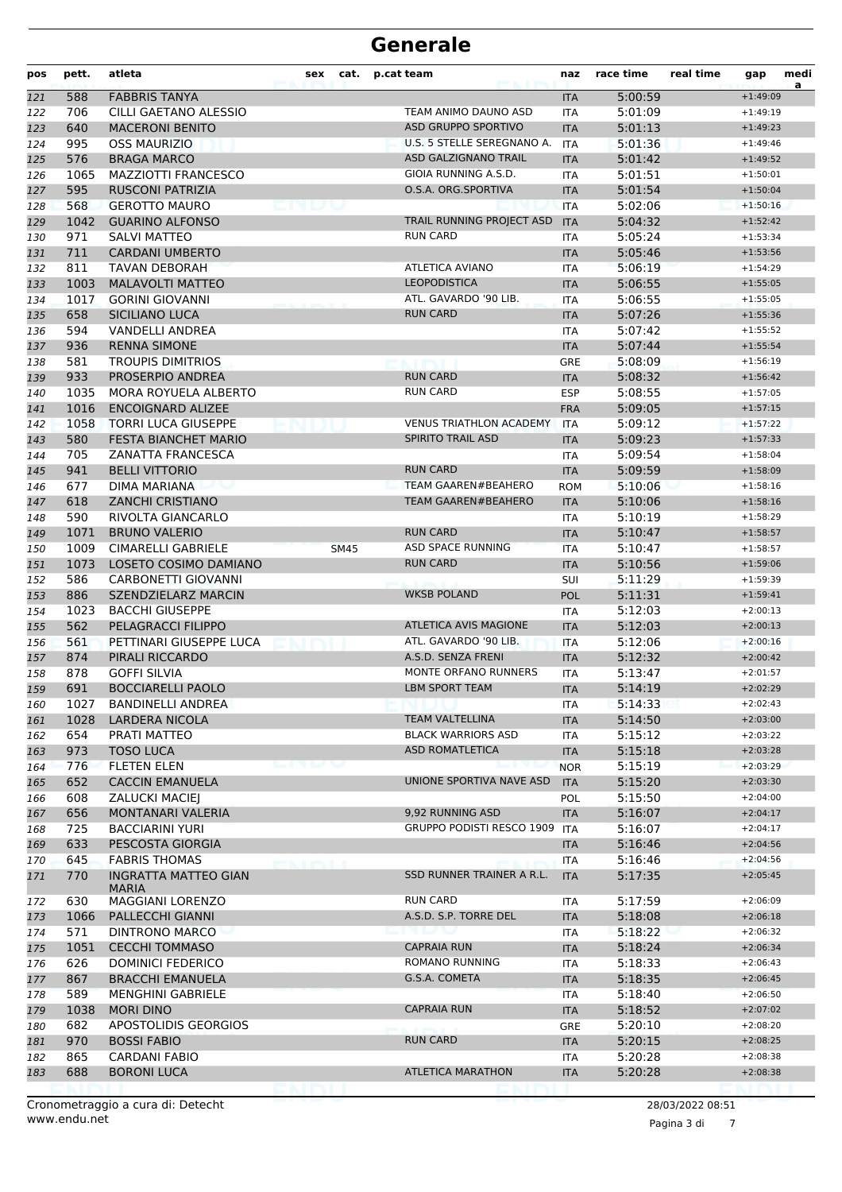| pos | pett. | atleta                                      | sex | cat.        | p.cat team                     | naz        | race time | real time        | gap        | medi<br>a |
|-----|-------|---------------------------------------------|-----|-------------|--------------------------------|------------|-----------|------------------|------------|-----------|
| 121 | 588   | <b>FABBRIS TANYA</b>                        |     |             |                                | <b>ITA</b> | 5:00:59   |                  | $+1:49:09$ |           |
| 122 | 706   | CILLI GAETANO ALESSIO                       |     |             | TEAM ANIMO DAUNO ASD           | <b>ITA</b> | 5:01:09   |                  | $+1:49:19$ |           |
| 123 | 640   | <b>MACERONI BENITO</b>                      |     |             | <b>ASD GRUPPO SPORTIVO</b>     | <b>ITA</b> | 5:01:13   |                  | $+1:49:23$ |           |
| 124 | 995   | <b>OSS MAURIZIO</b>                         |     |             | U.S. 5 STELLE SEREGNANO A.     | <b>ITA</b> | 5:01:36   |                  | $+1:49:46$ |           |
| 125 | 576   | <b>BRAGA MARCO</b>                          |     |             | ASD GALZIGNANO TRAIL           | <b>ITA</b> | 5:01:42   |                  | $+1:49:52$ |           |
| 126 | 1065  | <b>MAZZIOTTI FRANCESCO</b>                  |     |             | GIOIA RUNNING A.S.D.           | <b>ITA</b> | 5:01:51   |                  | $+1:50:01$ |           |
| 127 | 595   | <b>RUSCONI PATRIZIA</b>                     |     |             | O.S.A. ORG.SPORTIVA            | <b>ITA</b> | 5:01:54   |                  | $+1:50:04$ |           |
| 128 | 568   | <b>GEROTTO MAURO</b>                        |     |             |                                | <b>ITA</b> | 5:02:06   |                  | $+1:50:16$ |           |
| 129 | 1042  | <b>GUARINO ALFONSO</b>                      |     |             | TRAIL RUNNING PROJECT ASD      | <b>ITA</b> | 5:04:32   |                  | $+1:52:42$ |           |
| 130 | 971   | SALVI MATTEO                                |     |             | <b>RUN CARD</b>                | <b>ITA</b> | 5:05:24   |                  | $+1:53:34$ |           |
| 131 | 711   | <b>CARDANI UMBERTO</b>                      |     |             |                                | <b>ITA</b> | 5:05:46   |                  | $+1:53:56$ |           |
| 132 | 811   | <b>TAVAN DEBORAH</b>                        |     |             | <b>ATLETICA AVIANO</b>         | <b>ITA</b> | 5:06:19   |                  | $+1:54:29$ |           |
| 133 | 1003  | <b>MALAVOLTI MATTEO</b>                     |     |             | <b>LEOPODISTICA</b>            | <b>ITA</b> | 5:06:55   |                  | $+1:55:05$ |           |
| 134 | 1017  | <b>GORINI GIOVANNI</b>                      |     |             | ATL. GAVARDO '90 LIB.          | <b>ITA</b> | 5:06:55   |                  | $+1:55:05$ |           |
| 135 | 658   | SICILIANO LUCA                              |     |             | <b>RUN CARD</b>                | <b>ITA</b> | 5:07:26   |                  | $+1:55:36$ |           |
| 136 | 594   | <b>VANDELLI ANDREA</b>                      |     |             |                                | <b>ITA</b> | 5:07:42   |                  | $+1:55:52$ |           |
| 137 | 936   | <b>RENNA SIMONE</b>                         |     |             |                                | <b>ITA</b> | 5:07:44   |                  | $+1:55:54$ |           |
| 138 | 581   | <b>TROUPIS DIMITRIOS</b>                    |     |             |                                | <b>GRE</b> | 5:08:09   |                  | $+1:56:19$ |           |
| 139 | 933   | PROSERPIO ANDREA                            |     |             | <b>RUN CARD</b>                | <b>ITA</b> | 5:08:32   |                  | $+1:56:42$ |           |
| 140 | 1035  | MORA ROYUELA ALBERTO                        |     |             | <b>RUN CARD</b>                | <b>ESP</b> | 5:08:55   |                  | $+1:57:05$ |           |
| 141 | 1016  | <b>ENCOIGNARD ALIZEE</b>                    |     |             |                                | <b>FRA</b> | 5:09:05   |                  | $+1:57:15$ |           |
| 142 | 1058  | <b>TORRI LUCA GIUSEPPE</b>                  |     |             | <b>VENUS TRIATHLON ACADEMY</b> | <b>ITA</b> | 5:09:12   |                  | $+1:57:22$ |           |
| 143 | 580   | FESTA BIANCHET MARIO                        |     |             | <b>SPIRITO TRAIL ASD</b>       | <b>ITA</b> | 5:09:23   |                  | $+1:57:33$ |           |
| 144 | 705   | <b>ZANATTA FRANCESCA</b>                    |     |             |                                | <b>ITA</b> | 5:09:54   |                  | $+1:58:04$ |           |
| 145 | 941   | <b>BELLI VITTORIO</b>                       |     |             | <b>RUN CARD</b>                | <b>ITA</b> | 5:09:59   |                  | $+1:58:09$ |           |
| 146 | 677   | DIMA MARIANA                                |     |             | <b>TEAM GAAREN#BEAHERO</b>     | <b>ROM</b> | 5:10:06   |                  | $+1:58:16$ |           |
| 147 | 618   | <b>ZANCHI CRISTIANO</b>                     |     |             | <b>TEAM GAAREN#BEAHERO</b>     | <b>ITA</b> | 5:10:06   |                  | $+1:58:16$ |           |
| 148 | 590   | RIVOLTA GIANCARLO                           |     |             |                                | <b>ITA</b> | 5:10:19   |                  | $+1:58:29$ |           |
| 149 | 1071  | <b>BRUNO VALERIO</b>                        |     |             | <b>RUN CARD</b>                | <b>ITA</b> | 5:10:47   |                  | $+1:58:57$ |           |
| 150 | 1009  | <b>CIMARELLI GABRIELE</b>                   |     | <b>SM45</b> | ASD SPACE RUNNING              | <b>ITA</b> | 5:10:47   |                  | $+1:58:57$ |           |
| 151 | 1073  | LOSETO COSIMO DAMIANO                       |     |             | <b>RUN CARD</b>                | <b>ITA</b> | 5:10:56   |                  | $+1:59:06$ |           |
| 152 | 586   | <b>CARBONETTI GIOVANNI</b>                  |     |             |                                | SUI        | 5:11:29   |                  | $+1:59:39$ |           |
| 153 | 886   | SZENDZIELARZ MARCIN                         |     |             | WKSB POLAND                    | POL        | 5:11:31   |                  | $+1:59:41$ |           |
| 154 | 1023  | <b>BACCHI GIUSEPPE</b>                      |     |             |                                | <b>ITA</b> | 5:12:03   |                  | $+2:00:13$ |           |
| 155 | 562   | PELAGRACCI FILIPPO                          |     |             | <b>ATLETICA AVIS MAGIONE</b>   | <b>ITA</b> | 5:12:03   |                  | $+2:00:13$ |           |
| 156 | 561   | PETTINARI GIUSEPPE LUCA                     |     |             | ATL. GAVARDO '90 LIB.          | <b>ITA</b> | 5:12:06   |                  | $+2:00:16$ |           |
| 157 | 874   | PIRALI RICCARDO                             |     |             | A.S.D. SENZA FRENI             | <b>ITA</b> | 5:12:32   |                  | $+2:00:42$ |           |
| 158 | 878   | <b>GOFFI SILVIA</b>                         |     |             | MONTE ORFANO RUNNERS           | <b>ITA</b> | 5:13:47   |                  | $+2:01:57$ |           |
| 159 | 691   | <b>BOCCIARELLI PAOLO</b>                    |     |             | <b>LBM SPORT TEAM</b>          | <b>ITA</b> | 5:14:19   |                  | $+2:02:29$ |           |
| 160 | 1027  | <b>BANDINELLI ANDREA</b>                    |     |             |                                | ITA        | 5:14:33   |                  | $+2:02:43$ |           |
| 161 | 1028  | <b>LARDERA NICOLA</b>                       |     |             | TEAM VALTELLINA                | <b>ITA</b> | 5:14:50   |                  | $+2:03:00$ |           |
| 162 | 654   | PRATI MATTEO                                |     |             | <b>BLACK WARRIORS ASD</b>      | <b>ITA</b> | 5:15:12   |                  | $+2:03:22$ |           |
| 163 | 973   | <b>TOSO LUCA</b>                            |     |             | <b>ASD ROMATLETICA</b>         | <b>ITA</b> | 5:15:18   |                  | $+2:03:28$ |           |
| 164 | 776   | <b>FLETEN ELEN</b>                          |     |             |                                | <b>NOR</b> | 5:15:19   |                  | $+2:03:29$ |           |
| 165 | 652   | <b>CACCIN EMANUELA</b>                      |     |             | UNIONE SPORTIVA NAVE ASD       | <b>ITA</b> | 5:15:20   |                  | $+2:03:30$ |           |
| 166 | 608   | <b>ZALUCKI MACIEJ</b>                       |     |             |                                | <b>POL</b> | 5:15:50   |                  | $+2:04:00$ |           |
| 167 | 656   | MONTANARI VALERIA                           |     |             | 9,92 RUNNING ASD               | <b>ITA</b> | 5:16:07   |                  | $+2:04:17$ |           |
| 168 | 725   | <b>BACCIARINI YURI</b>                      |     |             | GRUPPO PODISTI RESCO 1909      | <b>ITA</b> | 5:16:07   |                  | $+2:04:17$ |           |
| 169 | 633   | PESCOSTA GIORGIA                            |     |             |                                | <b>ITA</b> | 5:16:46   |                  | $+2:04:56$ |           |
| 170 | 645   | <b>FABRIS THOMAS</b>                        |     |             |                                | ITA        | 5:16:46   |                  | $+2:04:56$ |           |
| 171 | 770   | <b>INGRATTA MATTEO GIAN</b><br><b>MARIA</b> |     |             | SSD RUNNER TRAINER A R.L.      | <b>ITA</b> | 5:17:35   |                  | $+2:05:45$ |           |
| 172 | 630   | MAGGIANI LORENZO                            |     |             | <b>RUN CARD</b>                | ITA        | 5:17:59   |                  | $+2:06:09$ |           |
| 173 | 1066  | PALLECCHI GIANNI                            |     |             | A.S.D. S.P. TORRE DEL          | <b>ITA</b> | 5:18:08   |                  | $+2:06:18$ |           |
| 174 | 571   | DINTRONO MARCO                              |     |             |                                | ITA        | 5:18:22   |                  | $+2:06:32$ |           |
| 175 | 1051  | <b>CECCHI TOMMASO</b>                       |     |             | <b>CAPRAIA RUN</b>             | <b>ITA</b> | 5:18:24   |                  | $+2:06:34$ |           |
| 176 | 626   | <b>DOMINICI FEDERICO</b>                    |     |             | ROMANO RUNNING                 | <b>ITA</b> | 5:18:33   |                  | $+2:06:43$ |           |
| 177 | 867   | <b>BRACCHI EMANUELA</b>                     |     |             | G.S.A. COMETA                  | <b>ITA</b> | 5:18:35   |                  | $+2:06:45$ |           |
| 178 | 589   | <b>MENGHINI GABRIELE</b>                    |     |             |                                | ITA        | 5:18:40   |                  | $+2:06:50$ |           |
| 179 | 1038  | <b>MORI DINO</b>                            |     |             | <b>CAPRAIA RUN</b>             | <b>ITA</b> | 5:18:52   |                  | $+2:07:02$ |           |
| 180 | 682   | APOSTOLIDIS GEORGIOS                        |     |             |                                | GRE        | 5:20:10   |                  | $+2:08:20$ |           |
| 181 | 970   | <b>BOSSI FABIO</b>                          |     |             | <b>RUN CARD</b>                | <b>ITA</b> | 5:20:15   |                  | $+2:08:25$ |           |
| 182 | 865   | CARDANI FABIO                               |     |             |                                | ITA        | 5:20:28   |                  | $+2:08:38$ |           |
| 183 | 688   | <b>BORONI LUCA</b>                          |     |             | ATLETICA MARATHON              | <b>ITA</b> | 5:20:28   |                  | $+2:08:38$ |           |
|     |       |                                             |     |             |                                |            |           |                  |            |           |
|     |       | Cronometraggio a cura di: Detecht           |     |             |                                |            |           | 28/03/2022 08:51 |            |           |

www.endu.net

Pagina 3 di 7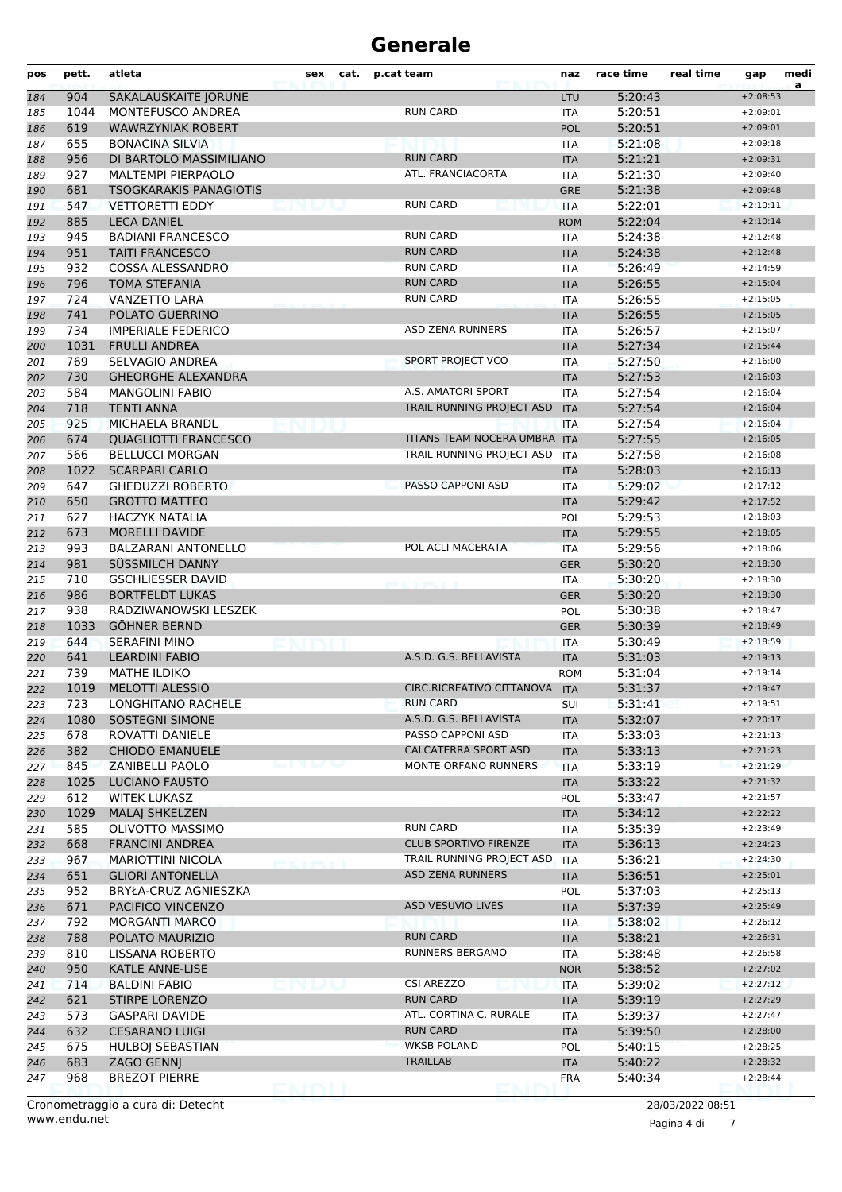| pos        | pett.       | atleta                                      | sex | cat. | p.cat team                   | naz                      | race time          | real time        | gap                      | medi<br>a |
|------------|-------------|---------------------------------------------|-----|------|------------------------------|--------------------------|--------------------|------------------|--------------------------|-----------|
| 184        | 904         | SAKALAUSKAITE JORUNE                        |     |      |                              | LTU                      | 5:20:43            |                  | $+2:08:53$               |           |
| 185        | 1044        | <b>MONTEFUSCO ANDREA</b>                    |     |      | <b>RUN CARD</b>              | <b>ITA</b>               | 5:20:51            |                  | $+2:09:01$               |           |
| 186        | 619         | <b>WAWRZYNIAK ROBERT</b>                    |     |      |                              | POL                      | 5:20:51            |                  | $+2:09:01$               |           |
| 187        | 655         | <b>BONACINA SILVIA</b>                      |     |      |                              | <b>ITA</b>               | 5:21:08            |                  | $+2:09:18$               |           |
| 188        | 956         | DI BARTOLO MASSIMILIANO                     |     |      | <b>RUN CARD</b>              | <b>ITA</b>               | 5:21:21            |                  | $+2:09:31$               |           |
| 189        | 927         | <b>MALTEMPI PIERPAOLO</b>                   |     |      | ATL. FRANCIACORTA            | <b>ITA</b>               | 5:21:30            |                  | $+2:09:40$               |           |
| 190        | 681         | <b>TSOGKARAKIS PANAGIOTIS</b>               |     |      |                              | <b>GRE</b>               | 5:21:38            |                  | $+2:09:48$               |           |
| 191        | 547         | <b>VETTORETTI EDDY</b>                      |     |      | <b>RUN CARD</b>              | <b>ITA</b>               | 5:22:01            |                  | $+2:10:11$               |           |
| 192        | 885         | <b>LECA DANIEL</b>                          |     |      |                              | <b>ROM</b>               | 5:22:04            |                  | $+2:10:14$               |           |
| 193        | 945         | <b>BADIANI FRANCESCO</b>                    |     |      | <b>RUN CARD</b>              | <b>ITA</b>               | 5:24:38            |                  | $+2:12:48$               |           |
| 194        | 951         | <b>TAITI FRANCESCO</b>                      |     |      | <b>RUN CARD</b>              | <b>ITA</b>               | 5:24:38            |                  | $+2:12:48$               |           |
| 195        | 932         | <b>COSSA ALESSANDRO</b>                     |     |      | <b>RUN CARD</b>              | <b>ITA</b>               | 5:26:49            |                  | $+2:14:59$               |           |
| 196        | 796         | <b>TOMA STEFANIA</b>                        |     |      | <b>RUN CARD</b>              | <b>ITA</b>               | 5:26:55            |                  | $+2:15:04$               |           |
| 197        | 724         | <b>VANZETTO LARA</b>                        |     |      | <b>RUN CARD</b>              | <b>ITA</b>               | 5:26:55            |                  | $+2:15:05$               |           |
| 198        | 741         | POLATO GUERRINO                             |     |      |                              | <b>ITA</b>               | 5:26:55            |                  | $+2:15:05$               |           |
| 199        | 734         | <b>IMPERIALE FEDERICO</b>                   |     |      | <b>ASD ZENA RUNNERS</b>      | <b>ITA</b>               | 5:26:57            |                  | $+2:15:07$               |           |
| 200        | 1031        | <b>FRULLI ANDREA</b>                        |     |      |                              | <b>ITA</b>               | 5:27:34            |                  | $+2:15:44$               |           |
| 201        | 769         | <b>SELVAGIO ANDREA</b>                      |     |      | SPORT PROJECT VCO            | <b>ITA</b>               | 5:27:50            |                  | $+2:16:00$               |           |
| 202        | 730         | <b>GHEORGHE ALEXANDRA</b>                   |     |      |                              | <b>ITA</b>               | 5:27:53            |                  | $+2:16:03$               |           |
| 203        | 584         | <b>MANGOLINI FABIO</b>                      |     |      | A.S. AMATORI SPORT           | <b>ITA</b>               | 5:27:54            |                  | $+2:16:04$               |           |
| 204        | 718         | <b>TENTI ANNA</b>                           |     |      | TRAIL RUNNING PROJECT ASD    | <b>ITA</b>               | 5:27:54            |                  | $+2:16:04$               |           |
| 205        | 925         | MICHAELA BRANDL                             |     |      |                              | <b>ITA</b>               | 5:27:54            |                  | $+2:16:04$               |           |
| 206        | 674         | <b>QUAGLIOTTI FRANCESCO</b>                 |     |      | TITANS TEAM NOCERA UMBRA ITA |                          | 5:27:55            |                  | $+2:16:05$               |           |
| 207        | 566         | <b>BELLUCCI MORGAN</b>                      |     |      | TRAIL RUNNING PROJECT ASD    | <b>ITA</b>               | 5:27:58            |                  | $+2:16:08$               |           |
| 208        | 1022        | <b>SCARPARI CARLO</b>                       |     |      |                              | <b>ITA</b>               | 5:28:03            |                  | $+2:16:13$               |           |
| 209        | 647         | <b>GHEDUZZI ROBERTO</b>                     |     |      | PASSO CAPPONI ASD            | <b>ITA</b>               | 5:29:02            |                  | $+2:17:12$               |           |
| 210        | 650         | <b>GROTTO MATTEO</b>                        |     |      |                              | <b>ITA</b>               | 5:29:42            |                  | $+2:17:52$               |           |
| 211        | 627         | <b>HACZYK NATALIA</b>                       |     |      |                              | POL                      | 5:29:53            |                  | $+2:18:03$               |           |
| 212        | 673         | <b>MORELLI DAVIDE</b>                       |     |      |                              | <b>ITA</b>               | 5:29:55            |                  | $+2:18:05$               |           |
| 213        | 993         | <b>BALZARANI ANTONELLO</b>                  |     |      | POL ACLI MACERATA            | <b>ITA</b>               | 5:29:56            |                  | $+2:18:06$               |           |
| 214        | 981         | SÜSSMILCH DANNY                             |     |      |                              | <b>GER</b>               | 5:30:20            |                  | $+2:18:30$               |           |
| 215        | 710         | <b>GSCHLIESSER DAVID</b>                    |     |      |                              | <b>ITA</b>               | 5:30:20            |                  | $+2:18:30$               |           |
| 216        | 986         | <b>BORTFELDT LUKAS</b>                      |     |      |                              | <b>GER</b>               | 5:30:20            |                  | $+2:18:30$               |           |
| 217        | 938<br>1033 | RADZIWANOWSKI LESZEK<br><b>GÖHNER BERND</b> |     |      |                              | POL                      | 5:30:38            |                  | $+2:18:47$               |           |
| 218        | 644         | <b>SERAFINI MINO</b>                        |     |      |                              | <b>GER</b>               | 5:30:39<br>5:30:49 |                  | $+2:18:49$<br>$+2:18:59$ |           |
| 219        | 641         | <b>LEARDINI FABIO</b>                       |     |      | A.S.D. G.S. BELLAVISTA       | <b>ITA</b><br><b>ITA</b> | 5:31:03            |                  | $+2:19:13$               |           |
| 220<br>221 | 739         | <b>MATHE ILDIKO</b>                         |     |      |                              | <b>ROM</b>               | 5:31:04            |                  | $+2:19:14$               |           |
| 222        | 1019        | <b>MELOTTI ALESSIO</b>                      |     |      | CIRC.RICREATIVO CITTANOVA    | <b>ITA</b>               | 5:31:37            |                  | $+2:19:47$               |           |
| 223        | 723         | LONGHITANO RACHELE                          |     |      | <b>RUN CARD</b>              | SUI                      | 5:31:41            |                  | $+2:19:51$               |           |
| 224        | 1080        | <b>SOSTEGNI SIMONE</b>                      |     |      | A.S.D. G.S. BELLAVISTA       | <b>ITA</b>               | 5:32:07            |                  | $+2:20:17$               |           |
| 225        | 678         | ROVATTI DANIELE                             |     |      | PASSO CAPPONI ASD            | <b>ITA</b>               | 5:33:03            |                  | $+2:21:13$               |           |
| 226        | 382         | <b>CHIODO EMANUELE</b>                      |     |      | <b>CALCATERRA SPORT ASD</b>  | <b>ITA</b>               | 5:33:13            |                  | $+2:21:23$               |           |
| 227        | 845         | ZANIBELLI PAOLO                             |     |      | MONTE ORFANO RUNNERS         | <b>ITA</b>               | 5:33:19            |                  | $+2:21:29$               |           |
| 228        | 1025        | <b>LUCIANO FAUSTO</b>                       |     |      |                              | <b>ITA</b>               | 5:33:22            |                  | $+2:21:32$               |           |
| 229        | 612         | <b>WITEK LUKASZ</b>                         |     |      |                              | POL                      | 5:33:47            |                  | $+2:21:57$               |           |
| 230        | 1029        | <b>MALAJ SHKELZEN</b>                       |     |      |                              | <b>ITA</b>               | 5:34:12            |                  | $+2:22:22$               |           |
| 231        | 585         | OLIVOTTO MASSIMO                            |     |      | <b>RUN CARD</b>              | ITA                      | 5:35:39            |                  | $+2:23:49$               |           |
| 232        | 668         | <b>FRANCINI ANDREA</b>                      |     |      | <b>CLUB SPORTIVO FIRENZE</b> | <b>ITA</b>               | 5:36:13            |                  | $+2:24:23$               |           |
| 233        | 967         | <b>MARIOTTINI NICOLA</b>                    |     |      | TRAIL RUNNING PROJECT ASD    | <b>ITA</b>               | 5:36:21            |                  | $+2:24:30$               |           |
| 234        | 651         | <b>GLIORI ANTONELLA</b>                     |     |      | <b>ASD ZENA RUNNERS</b>      | <b>ITA</b>               | 5:36:51            |                  | $+2:25:01$               |           |
| 235        | 952         | BRYŁA-CRUZ AGNIESZKA                        |     |      |                              | POL                      | 5:37:03            |                  | $+2:25:13$               |           |
| 236        | 671         | PACIFICO VINCENZO                           |     |      | ASD VESUVIO LIVES            | <b>ITA</b>               | 5:37:39            |                  | $+2:25:49$               |           |
| 237        | 792         | <b>MORGANTI MARCO</b>                       |     |      |                              | ITA                      | 5:38:02            |                  | $+2:26:12$               |           |
| 238        | 788         | POLATO MAURIZIO                             |     |      | <b>RUN CARD</b>              | <b>ITA</b>               | 5:38:21            |                  | $+2:26:31$               |           |
| 239        | 810         | LISSANA ROBERTO                             |     |      | RUNNERS BERGAMO              | ITA                      | 5:38:48            |                  | $+2:26:58$               |           |
| 240        | 950         | <b>KATLE ANNE-LISE</b>                      |     |      |                              | <b>NOR</b>               | 5:38:52            |                  | $+2:27:02$               |           |
| 241        | 714         | <b>BALDINI FABIO</b>                        |     |      | <b>CSI AREZZO</b>            | ITA                      | 5:39:02            |                  | $+2:27:12$               |           |
| 242        | 621         | STIRPE LORENZO                              |     |      | <b>RUN CARD</b>              | <b>ITA</b>               | 5:39:19            |                  | $+2:27:29$               |           |
| 243        | 573         | <b>GASPARI DAVIDE</b>                       |     |      | ATL. CORTINA C. RURALE       | ITA                      | 5:39:37            |                  | $+2:27:47$               |           |
| 244        | 632         | <b>CESARANO LUIGI</b>                       |     |      | <b>RUN CARD</b>              | <b>ITA</b>               | 5:39:50            |                  | $+2:28:00$               |           |
| 245        | 675         | HULBOJ SEBASTIAN                            |     |      | <b>WKSB POLAND</b>           | POL                      | 5:40:15            |                  | $+2:28:25$               |           |
| 246        | 683         | ZAGO GENNJ                                  |     |      | <b>TRAILLAB</b>              | <b>ITA</b>               | 5:40:22            |                  | $+2:28:32$               |           |
| 247        | 968         | <b>BREZOT PIERRE</b>                        |     |      |                              | <b>FRA</b>               | 5:40:34            |                  | $+2:28:44$               |           |
|            |             |                                             |     |      |                              |                          |                    |                  |                          |           |
|            |             | Cronometraggio a cura di: Detecht           |     |      |                              |                          |                    | 28/03/2022 08:51 |                          |           |

Pagina 4 di 7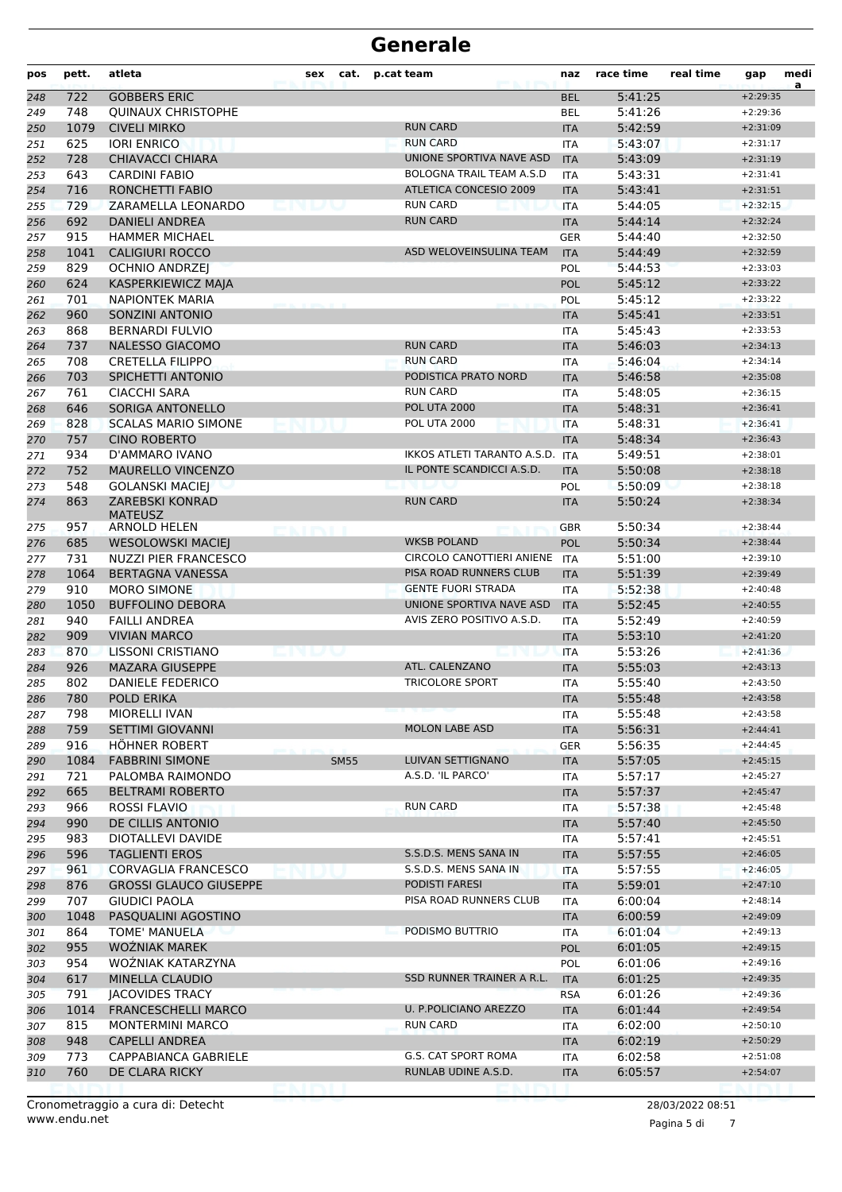| pos        | pett. | atleta                            | sex | cat.        | p.cat team                      | naz        | race time | real time        | gap        | medi<br>a |
|------------|-------|-----------------------------------|-----|-------------|---------------------------------|------------|-----------|------------------|------------|-----------|
| 248        | 722   | <b>GOBBERS ERIC</b>               |     |             |                                 | <b>BEL</b> | 5:41:25   |                  | $+2:29:35$ |           |
| 249        | 748   | <b>QUINAUX CHRISTOPHE</b>         |     |             |                                 | <b>BEL</b> | 5:41:26   |                  | $+2:29:36$ |           |
| 250        | 1079  | <b>CIVELI MIRKO</b>               |     |             | <b>RUN CARD</b>                 | <b>ITA</b> | 5:42:59   |                  | $+2:31:09$ |           |
| 251        | 625   | <b>IORI ENRICO</b>                |     |             | <b>RUN CARD</b>                 | <b>ITA</b> | 5:43:07   |                  | $+2:31:17$ |           |
| 252        | 728   | <b>CHIAVACCI CHIARA</b>           |     |             | UNIONE SPORTIVA NAVE ASD        | <b>ITA</b> | 5:43:09   |                  | $+2:31:19$ |           |
| 253        | 643   | <b>CARDINI FABIO</b>              |     |             | <b>BOLOGNA TRAIL TEAM A.S.D</b> | <b>ITA</b> | 5:43:31   |                  | $+2:31:41$ |           |
| 254        | 716   | <b>RONCHETTI FABIO</b>            |     |             | ATLETICA CONCESIO 2009          | <b>ITA</b> | 5:43:41   |                  | $+2:31:51$ |           |
| 255        | 729   | ZARAMELLA LEONARDO                |     |             | <b>RUN CARD</b>                 | <b>ITA</b> | 5:44:05   |                  | $+2:32:15$ |           |
| 256        | 692   | <b>DANIELI ANDREA</b>             |     |             | <b>RUN CARD</b>                 | <b>ITA</b> | 5:44:14   |                  | $+2:32:24$ |           |
| 257        | 915   | <b>HAMMER MICHAEL</b>             |     |             |                                 | <b>GER</b> | 5:44:40   |                  | $+2:32:50$ |           |
| 258        | 1041  | <b>CALIGIURI ROCCO</b>            |     |             | ASD WELOVEINSULINA TEAM         | <b>ITA</b> | 5:44:49   |                  | $+2:32:59$ |           |
| 259        | 829   | <b>OCHNIO ANDRZEI</b>             |     |             |                                 | POL        | 5:44:53   |                  | $+2:33:03$ |           |
| 260        | 624   | KASPERKIEWICZ MAJA                |     |             |                                 | <b>POL</b> | 5:45:12   |                  | $+2:33:22$ |           |
| 261        | 701   | <b>NAPIONTEK MARIA</b>            |     |             |                                 | POL        | 5:45:12   |                  | $+2:33:22$ |           |
| 262        | 960   | SONZINI ANTONIO                   |     |             |                                 | <b>ITA</b> | 5:45:41   |                  | $+2:33:51$ |           |
| 263        | 868   | <b>BERNARDI FULVIO</b>            |     |             |                                 | <b>ITA</b> | 5:45:43   |                  | $+2:33:53$ |           |
| 264        | 737   | <b>NALESSO GIACOMO</b>            |     |             | <b>RUN CARD</b>                 | <b>ITA</b> | 5:46:03   |                  | $+2:34:13$ |           |
| 265        | 708   | <b>CRETELLA FILIPPO</b>           |     |             | <b>RUN CARD</b>                 | <b>ITA</b> | 5:46:04   |                  | $+2:34:14$ |           |
| 266        | 703   | SPICHETTI ANTONIO                 |     |             | PODISTICA PRATO NORD            | <b>ITA</b> | 5:46:58   |                  | $+2:35:08$ |           |
| 267        | 761   | <b>CIACCHI SARA</b>               |     |             | <b>RUN CARD</b>                 | <b>ITA</b> | 5:48:05   |                  | $+2:36:15$ |           |
| 268        | 646   | <b>SORIGA ANTONELLO</b>           |     |             | <b>POL UTA 2000</b>             | <b>ITA</b> | 5:48:31   |                  | $+2:36:41$ |           |
| 269        | 828   | <b>SCALAS MARIO SIMONE</b>        |     |             | <b>POL UTA 2000</b>             | <b>ITA</b> | 5:48:31   |                  | $+2:36:41$ |           |
| 270        | 757   | <b>CINO ROBERTO</b>               |     |             |                                 | <b>ITA</b> | 5:48:34   |                  | $+2:36:43$ |           |
| 271        | 934   | D'AMMARO IVANO                    |     |             | IKKOS ATLETI TARANTO A.S.D.     | <b>ITA</b> | 5:49:51   |                  | $+2:38:01$ |           |
| 272        | 752   | MAURELLO VINCENZO                 |     |             | IL PONTE SCANDICCI A.S.D.       | <b>ITA</b> | 5:50:08   |                  | $+2:38:18$ |           |
| 273        | 548   | <b>GOLANSKI MACIEJ</b>            |     |             |                                 | POL        | 5:50:09   |                  | $+2:38:18$ |           |
|            | 863   | <b>ZAREBSKI KONRAD</b>            |     |             | <b>RUN CARD</b>                 |            | 5:50:24   |                  | $+2:38:34$ |           |
| 274        |       | <b>MATEUSZ</b>                    |     |             |                                 | <b>ITA</b> |           |                  |            |           |
| 275        | 957   | <b>ARNOLD HELEN</b>               |     |             |                                 | <b>GBR</b> | 5:50:34   |                  | $+2:38:44$ |           |
| 276        | 685   | <b>WESOLOWSKI MACIEJ</b>          |     |             | <b>WKSB POLAND</b>              | <b>POL</b> | 5:50:34   |                  | $+2:38:44$ |           |
| 277        | 731   | <b>NUZZI PIER FRANCESCO</b>       |     |             | CIRCOLO CANOTTIERI ANIENE       | <b>ITA</b> | 5:51:00   |                  | $+2:39:10$ |           |
| 278        | 1064  | <b>BERTAGNA VANESSA</b>           |     |             | PISA ROAD RUNNERS CLUB          | <b>ITA</b> | 5:51:39   |                  | $+2:39:49$ |           |
| 279        | 910   | <b>MORO SIMONE</b>                |     |             | <b>GENTE FUORI STRADA</b>       | <b>ITA</b> | 5:52:38   |                  | $+2:40:48$ |           |
| 280        | 1050  | <b>BUFFOLINO DEBORA</b>           |     |             | UNIONE SPORTIVA NAVE ASD        | <b>ITA</b> | 5:52:45   |                  | $+2:40:55$ |           |
| 281        | 940   | <b>FAILLI ANDREA</b>              |     |             | AVIS ZERO POSITIVO A.S.D.       | <b>ITA</b> | 5:52:49   |                  | $+2:40:59$ |           |
| 282        | 909   | <b>VIVIAN MARCO</b>               |     |             |                                 | <b>ITA</b> | 5:53:10   |                  | $+2:41:20$ |           |
| 283        | 870   | <b>LISSONI CRISTIANO</b>          |     |             |                                 | <b>ITA</b> | 5:53:26   |                  | $+2:41:36$ |           |
| 284        | 926   | <b>MAZARA GIUSEPPE</b>            |     |             | ATL. CALENZANO                  | <b>ITA</b> | 5:55:03   |                  | $+2:43:13$ |           |
| 285        | 802   | DANIELE FEDERICO                  |     |             | <b>TRICOLORE SPORT</b>          | <b>ITA</b> | 5:55:40   |                  | $+2:43:50$ |           |
| 286        | 780   | POLD ERIKA                        |     |             |                                 | ITA.       | 5:55:48   |                  | $+2:43:58$ |           |
| 287        | 798   | MIORELLI IVAN                     |     |             |                                 | ITA        | 5:55:48   |                  | $+2:43:58$ |           |
| 288        | 759   | <b>SETTIMI GIOVANNI</b>           |     |             | <b>MOLON LABE ASD</b>           | <b>ITA</b> | 5:56:31   |                  | $+2:44:41$ |           |
| 289        | 916   | <b>HOHNER ROBERT</b>              |     |             |                                 | <b>GER</b> | 5:56:35   |                  | $+2:44:45$ |           |
| 290        | 1084  | <b>FABBRINI SIMONE</b>            |     | <b>SM55</b> | LUIVAN SETTIGNANO               | <b>ITA</b> | 5:57:05   |                  | $+2:45:15$ |           |
| 291        | 721   | PALOMBA RAIMONDO                  |     |             | A.S.D. 'IL PARCO'               | ITA        | 5:57:17   |                  | $+2:45:27$ |           |
| 292        | 665   | <b>BELTRAMI ROBERTO</b>           |     |             |                                 | <b>ITA</b> | 5:57:37   |                  | $+2:45:47$ |           |
| 293        | 966   | <b>ROSSI FLAVIO</b>               |     |             | <b>RUN CARD</b>                 | <b>ITA</b> | 5:57:38   |                  | $+2:45:48$ |           |
| 294        | 990   | DE CILLIS ANTONIO                 |     |             |                                 | <b>ITA</b> | 5:57:40   |                  | $+2:45:50$ |           |
| 295        | 983   | DIOTALLEVI DAVIDE                 |     |             |                                 | ITA        | 5:57:41   |                  | $+2:45:51$ |           |
|            | 596   | <b>TAGLIENTI EROS</b>             |     |             | S.S.D.S. MENS SANA IN           | <b>ITA</b> | 5:57:55   |                  | $+2:46:05$ |           |
| 296<br>297 | 961   | <b>CORVAGLIA FRANCESCO</b>        |     |             | S.S.D.S. MENS SANA IN           | <b>ITA</b> | 5:57:55   |                  | $+2:46:05$ |           |
|            |       |                                   |     |             | PODISTI FARESI                  |            |           |                  |            |           |
| 298        | 876   | <b>GROSSI GLAUCO GIUSEPPE</b>     |     |             |                                 | <b>ITA</b> | 5:59:01   |                  | $+2:47:10$ |           |
| 299        | 707   | GIUDICI PAOLA                     |     |             | PISA ROAD RUNNERS CLUB          | ITA        | 6:00:04   |                  | $+2:48:14$ |           |
| 300        | 1048  | PASQUALINI AGOSTINO               |     |             |                                 | <b>ITA</b> | 6:00:59   |                  | $+2:49:09$ |           |
| 301        | 864   | TOME' MANUELA                     |     |             | PODISMO BUTTRIO                 | ITA        | 6:01:04   |                  | $+2:49:13$ |           |
| 302        | 955   | <b>WOŻNIAK MAREK</b>              |     |             |                                 | <b>POL</b> | 6:01:05   |                  | $+2:49:15$ |           |
| 303        | 954   | WOZNIAK KATARZYNA                 |     |             |                                 | POL        | 6:01:06   |                  | $+2:49:16$ |           |
| 304        | 617   | MINELLA CLAUDIO                   |     |             | SSD RUNNER TRAINER A R.L.       | <b>ITA</b> | 6:01:25   |                  | $+2:49:35$ |           |
| 305        | 791   | <b>JACOVIDES TRACY</b>            |     |             |                                 | <b>RSA</b> | 6:01:26   |                  | $+2:49:36$ |           |
| 306        | 1014  | <b>FRANCESCHELLI MARCO</b>        |     |             | U. P.POLICIANO AREZZO           | <b>ITA</b> | 6:01:44   |                  | $+2:49:54$ |           |
| 307        | 815   | <b>MONTERMINI MARCO</b>           |     |             | <b>RUN CARD</b>                 | ITA        | 6:02:00   |                  | $+2:50:10$ |           |
| 308        | 948   | <b>CAPELLI ANDREA</b>             |     |             |                                 | <b>ITA</b> | 6:02:19   |                  | $+2:50:29$ |           |
| 309        | 773   | CAPPABIANCA GABRIELE              |     |             | G.S. CAT SPORT ROMA             | <b>ITA</b> | 6:02:58   |                  | $+2:51:08$ |           |
| 310        | 760   | DE CLARA RICKY                    |     |             | RUNLAB UDINE A.S.D.             | <b>ITA</b> | 6:05:57   |                  | $+2:54:07$ |           |
|            |       |                                   |     |             |                                 |            |           |                  |            |           |
|            |       | Cronometraggio a cura di: Detecht |     |             |                                 |            |           | 28/03/2022 08:51 |            |           |

www.endu.net

Pagina 5 di 7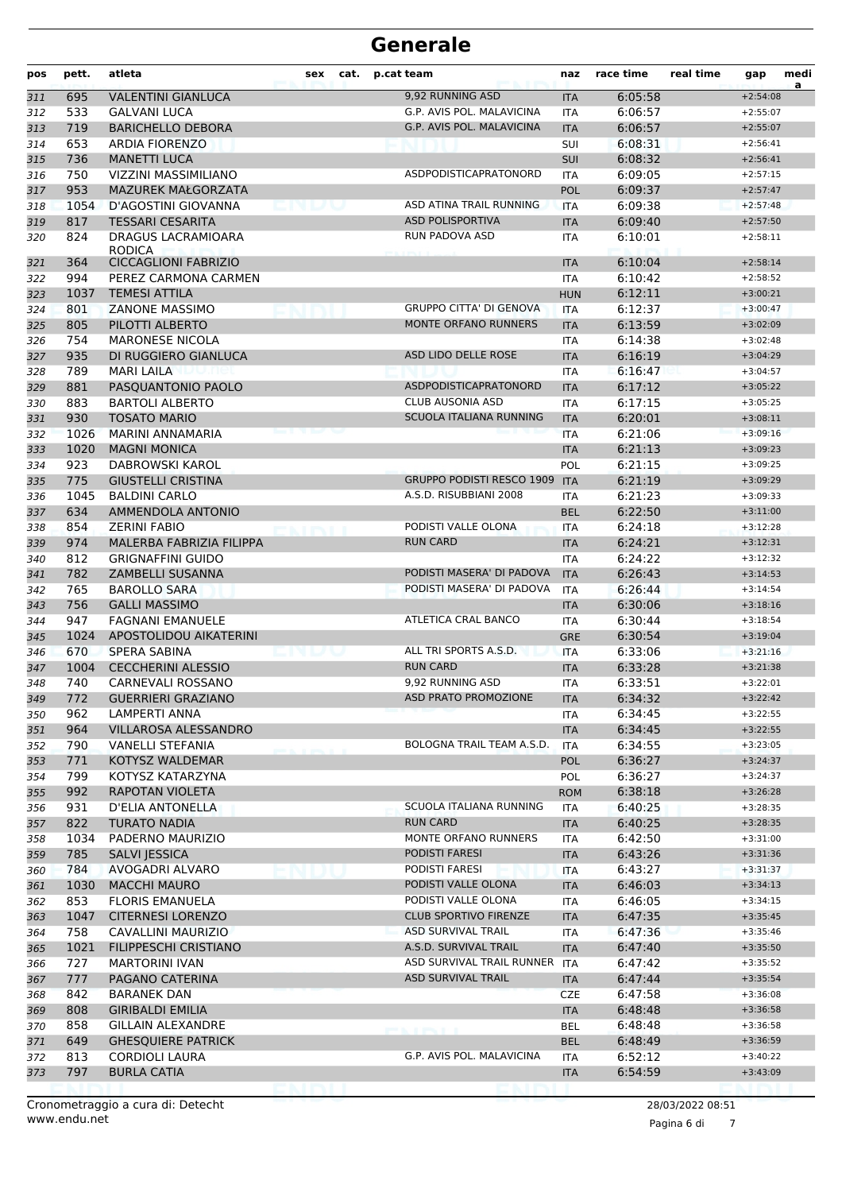| pos | pett. | atleta                              | sex | cat. | p.cat team                       | naz        | race time | real time        | gap        | medi<br>a |
|-----|-------|-------------------------------------|-----|------|----------------------------------|------------|-----------|------------------|------------|-----------|
| 311 | 695   | <b>VALENTINI GIANLUCA</b>           |     |      | 9,92 RUNNING ASD                 | <b>ITA</b> | 6:05:58   |                  | $+2:54:08$ |           |
| 312 | 533   | <b>GALVANI LUCA</b>                 |     |      | G.P. AVIS POL. MALAVICINA        | <b>ITA</b> | 6:06:57   |                  | $+2:55:07$ |           |
| 313 | 719   | <b>BARICHELLO DEBORA</b>            |     |      | G.P. AVIS POL. MALAVICINA        | <b>ITA</b> | 6:06:57   |                  | $+2:55:07$ |           |
| 314 | 653   | <b>ARDIA FIORENZO</b>               |     |      |                                  | SUI        | 6:08:31   |                  | $+2:56:41$ |           |
| 315 | 736   | <b>MANETTI LUCA</b>                 |     |      |                                  | <b>SUI</b> | 6:08:32   |                  | $+2:56:41$ |           |
| 316 | 750   | VIZZINI MASSIMILIANO                |     |      | ASDPODISTICAPRATONORD            | <b>ITA</b> | 6:09:05   |                  | $+2:57:15$ |           |
| 317 | 953   | <b>MAZUREK MAŁGORZATA</b>           |     |      |                                  | <b>POL</b> | 6:09:37   |                  | $+2:57:47$ |           |
| 318 | 1054  | D'AGOSTINI GIOVANNA                 |     |      | ASD ATINA TRAIL RUNNING          | <b>ITA</b> | 6:09:38   |                  | $+2:57:48$ |           |
| 319 | 817   | <b>TESSARI CESARITA</b>             |     |      | <b>ASD POLISPORTIVA</b>          | <b>ITA</b> | 6:09:40   |                  | $+2:57:50$ |           |
| 320 | 824   | DRAGUS LACRAMIOARA<br><b>RODICA</b> |     |      | RUN PADOVA ASD                   | <b>ITA</b> | 6:10:01   |                  | $+2:58:11$ |           |
| 321 | 364   | <b>CICCAGLIONI FABRIZIO</b>         |     |      |                                  | <b>ITA</b> | 6:10:04   |                  | $+2:58:14$ |           |
| 322 | 994   | PEREZ CARMONA CARMEN                |     |      |                                  | ITA        | 6:10:42   |                  | $+2:58:52$ |           |
| 323 | 1037  | <b>TEMESI ATTILA</b>                |     |      |                                  | <b>HUN</b> | 6:12:11   |                  | $+3:00:21$ |           |
| 324 | 801   | <b>ZANONE MASSIMO</b>               |     |      | <b>GRUPPO CITTA' DI GENOVA</b>   | <b>ITA</b> | 6:12:37   |                  | $+3:00:47$ |           |
| 325 | 805   | PILOTTI ALBERTO                     |     |      | <b>MONTE ORFANO RUNNERS</b>      | <b>ITA</b> | 6:13:59   |                  | $+3:02:09$ |           |
| 326 | 754   | <b>MARONESE NICOLA</b>              |     |      |                                  | <b>ITA</b> | 6:14:38   |                  | $+3:02:48$ |           |
| 327 | 935   | DI RUGGIERO GIANLUCA                |     |      | ASD LIDO DELLE ROSE              | <b>ITA</b> | 6:16:19   |                  | $+3:04:29$ |           |
| 328 | 789   | <b>MARI LAILA</b><br>ppmet          |     |      |                                  | <b>ITA</b> | 6:16:47   |                  | $+3:04:57$ |           |
| 329 | 881   | PASQUANTONIO PAOLO                  |     |      | ASDPODISTICAPRATONORD            | <b>ITA</b> | 6:17:12   |                  | $+3:05:22$ |           |
| 330 | 883   | <b>BARTOLI ALBERTO</b>              |     |      | <b>CLUB AUSONIA ASD</b>          | <b>ITA</b> | 6:17:15   |                  | $+3:05:25$ |           |
| 331 | 930   | <b>TOSATO MARIO</b>                 |     |      | <b>SCUOLA ITALIANA RUNNING</b>   | <b>ITA</b> | 6:20:01   |                  | $+3:08:11$ |           |
| 332 | 1026  | MARINI ANNAMARIA                    |     |      |                                  | <b>ITA</b> | 6:21:06   |                  | $+3:09:16$ |           |
| 333 | 1020  | <b>MAGNI MONICA</b>                 |     |      |                                  | <b>ITA</b> | 6:21:13   |                  | $+3:09:23$ |           |
| 334 | 923   | DABROWSKI KAROL                     |     |      |                                  | POL        | 6:21:15   |                  | $+3:09:25$ |           |
| 335 | 775   | <b>GIUSTELLI CRISTINA</b>           |     |      | <b>GRUPPO PODISTI RESCO 1909</b> | <b>ITA</b> | 6:21:19   |                  | $+3:09:29$ |           |
| 336 | 1045  | <b>BALDINI CARLO</b>                |     |      | A.S.D. RISUBBIANI 2008           | <b>ITA</b> | 6:21:23   |                  | $+3:09:33$ |           |
| 337 | 634   | AMMENDOLA ANTONIO                   |     |      |                                  | <b>BEL</b> | 6:22:50   |                  | $+3:11:00$ |           |
| 338 | 854   | <b>ZERINI FABIO</b>                 |     |      | PODISTI VALLE OLONA              | <b>ITA</b> | 6:24:18   |                  | $+3:12:28$ |           |
| 339 | 974   | MALERBA FABRIZIA FILIPPA            |     |      | <b>RUN CARD</b>                  | <b>ITA</b> | 6:24:21   |                  | $+3:12:31$ |           |
| 340 | 812   | <b>GRIGNAFFINI GUIDO</b>            |     |      |                                  | <b>ITA</b> | 6:24:22   |                  | $+3:12:32$ |           |
| 341 | 782   | ZAMBELLI SUSANNA                    |     |      | PODISTI MASERA' DI PADOVA        | <b>ITA</b> | 6:26:43   |                  | $+3:14:53$ |           |
| 342 | 765   | <b>BAROLLO SARA</b>                 |     |      | PODISTI MASERA' DI PADOVA        | <b>ITA</b> | 6:26:44   |                  | $+3:14:54$ |           |
| 343 | 756   | <b>GALLI MASSIMO</b>                |     |      |                                  | <b>ITA</b> | 6:30:06   |                  | $+3:18:16$ |           |
| 344 | 947   | <b>FAGNANI EMANUELE</b>             |     |      | ATLETICA CRAL BANCO              | ITA        | 6:30:44   |                  | $+3:18:54$ |           |
| 345 | 1024  | APOSTOLIDOU AIKATERINI              |     |      |                                  | <b>GRE</b> | 6:30:54   |                  | $+3:19:04$ |           |
| 346 | 670   | <b>SPERA SABINA</b>                 |     |      | ALL TRI SPORTS A.S.D.            | <b>ITA</b> | 6:33:06   |                  | $+3:21:16$ |           |
| 347 | 1004  | <b>CECCHERINI ALESSIO</b>           |     |      | <b>RUN CARD</b>                  | <b>ITA</b> | 6:33:28   |                  | $+3:21:38$ |           |
| 348 | 740   | CARNEVALI ROSSANO                   |     |      | 9,92 RUNNING ASD                 | <b>ITA</b> | 6:33:51   |                  | $+3:22:01$ |           |
| 349 | 772   | <b>GUERRIERI GRAZIANO</b>           |     |      | ASD PRATO PROMOZIONE             | ITA        | 6:34:32   |                  | +3:22:42   |           |
| 350 | 962   | LAMPERTI ANNA                       |     |      |                                  | ITA        | 6:34:45   |                  | $+3:22:55$ |           |
| 351 | 964   | VILLAROSA ALESSANDRO                |     |      |                                  | <b>ITA</b> | 6:34:45   |                  | $+3:22:55$ |           |
| 352 | 790   | VANELLI STEFANIA                    |     |      | BOLOGNA TRAIL TEAM A.S.D.        | ITA        | 6:34:55   |                  | $+3:23:05$ |           |
| 353 | 771   | <b>KOTYSZ WALDEMAR</b>              |     |      |                                  | <b>POL</b> | 6:36:27   |                  | $+3:24:37$ |           |
| 354 | 799   | KOTYSZ KATARZYNA                    |     |      |                                  | <b>POL</b> | 6:36:27   |                  | $+3:24:37$ |           |
| 355 | 992   | RAPOTAN VIOLETA                     |     |      |                                  | <b>ROM</b> | 6:38:18   |                  | $+3:26:28$ |           |
| 356 | 931   | <b>D'ELIA ANTONELLA</b>             |     |      | SCUOLA ITALIANA RUNNING          | <b>ITA</b> | 6:40:25   |                  | $+3:28:35$ |           |
| 357 | 822   | <b>TURATO NADIA</b>                 |     |      | <b>RUN CARD</b>                  | <b>ITA</b> | 6:40:25   |                  | $+3:28:35$ |           |
| 358 | 1034  | PADERNO MAURIZIO                    |     |      | MONTE ORFANO RUNNERS             | ITA        | 6:42:50   |                  | $+3:31:00$ |           |
| 359 | 785   | <b>SALVI JESSICA</b>                |     |      | PODISTI FARESI                   | <b>ITA</b> | 6:43:26   |                  | $+3:31:36$ |           |
| 360 | 784   | AVOGADRI ALVARO                     |     |      | PODISTI FARESI                   | ITA        | 6:43:27   |                  | $+3:31:37$ |           |
| 361 | 1030  | <b>MACCHI MAURO</b>                 |     |      | PODISTI VALLE OLONA              | <b>ITA</b> | 6:46:03   |                  | $+3:34:13$ |           |
| 362 | 853   | <b>FLORIS EMANUELA</b>              |     |      | PODISTI VALLE OLONA              | ITA        | 6:46:05   |                  | $+3:34:15$ |           |
| 363 | 1047  | <b>CITERNESI LORENZO</b>            |     |      | <b>CLUB SPORTIVO FIRENZE</b>     | <b>ITA</b> | 6:47:35   |                  | $+3:35:45$ |           |
| 364 | 758   | CAVALLINI MAURIZIO                  |     |      | ASD SURVIVAL TRAIL               | ITA        | 6:47:36   |                  | $+3:35:46$ |           |
| 365 | 1021  | FILIPPESCHI CRISTIANO               |     |      | A.S.D. SURVIVAL TRAIL            | <b>ITA</b> | 6:47:40   |                  | $+3:35:50$ |           |
| 366 | 727   | <b>MARTORINI IVAN</b>               |     |      | ASD SURVIVAL TRAIL RUNNER ITA    |            | 6:47:42   |                  | $+3:35:52$ |           |
| 367 | 777   | PAGANO CATERINA                     |     |      | <b>ASD SURVIVAL TRAIL</b>        | <b>ITA</b> | 6:47:44   |                  | $+3:35:54$ |           |
| 368 | 842   | <b>BARANEK DAN</b>                  |     |      |                                  | <b>CZE</b> | 6:47:58   |                  | $+3:36:08$ |           |
| 369 | 808   | <b>GIRIBALDI EMILIA</b>             |     |      |                                  | <b>ITA</b> | 6:48:48   |                  | $+3:36:58$ |           |
| 370 | 858   | GILLAIN ALEXANDRE                   |     |      |                                  | BEL        | 6:48:48   |                  | $+3:36:58$ |           |
| 371 | 649   | <b>GHESQUIERE PATRICK</b>           |     |      | <b>PORTABLE PRODUCT</b>          | <b>BEL</b> | 6:48:49   |                  | $+3:36:59$ |           |
| 372 | 813   | <b>CORDIOLI LAURA</b>               |     |      | G.P. AVIS POL. MALAVICINA        | <b>ITA</b> | 6:52:12   |                  | $+3:40:22$ |           |
| 373 | 797   | <b>BURLA CATIA</b>                  |     |      |                                  | <b>ITA</b> | 6:54:59   |                  | $+3:43:09$ |           |
|     |       |                                     |     |      |                                  |            |           |                  |            |           |
|     |       | Cronometraggio a cura di: Detecht   |     |      |                                  |            |           | 28/03/2022 08:51 |            |           |

www.endu.net

Pagina 6 di 7